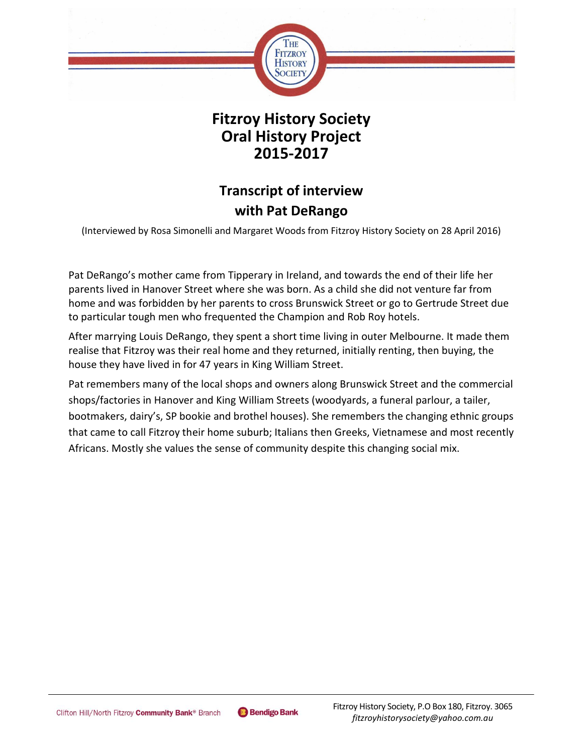

## **Fitzroy History Society Oral History Project 2015-2017**

# **Transcript of interview with Pat DeRango**

(Interviewed by Rosa Simonelli and Margaret Woods from Fitzroy History Society on 28 April 2016)

Pat DeRango's mother came from Tipperary in Ireland, and towards the end of their life her parents lived in Hanover Street where she was born. As a child she did not venture far from home and was forbidden by her parents to cross Brunswick Street or go to Gertrude Street due to particular tough men who frequented the Champion and Rob Roy hotels.

After marrying Louis DeRango, they spent a short time living in outer Melbourne. It made them realise that Fitzroy was their real home and they returned, initially renting, then buying, the house they have lived in for 47 years in King William Street.

Pat remembers many of the local shops and owners along Brunswick Street and the commercial shops/factories in Hanover and King William Streets (woodyards, a funeral parlour, a tailer, bootmakers, dairy's, SP bookie and brothel houses). She remembers the changing ethnic groups that came to call Fitzroy their home suburb; Italians then Greeks, Vietnamese and most recently Africans. Mostly she values the sense of community despite this changing social mix.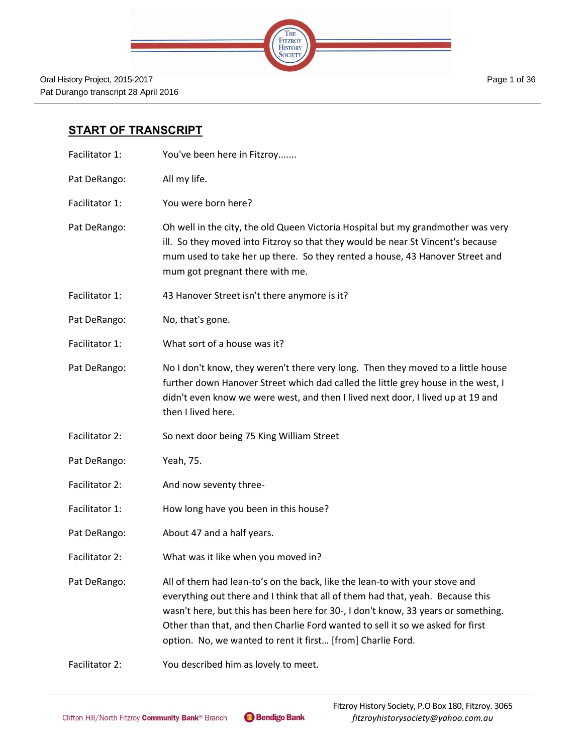|  | THE<br>FITZROY<br>HISTORY |  |
|--|---------------------------|--|
|  | OUIE                      |  |
|  |                           |  |

## **START OF TRANSCRIPT**

- Facilitator 1: You've been here in Fitzroy.......
- Pat DeRango: All my life.
- Facilitator 1: You were born here?
- Pat DeRango: Oh well in the city, the old Queen Victoria Hospital but my grandmother was very ill. So they moved into Fitzroy so that they would be near St Vincent's because mum used to take her up there. So they rented a house, 43 Hanover Street and mum got pregnant there with me.
- Facilitator 1: 43 Hanover Street isn't there anymore is it?
- Pat DeRango: No, that's gone.
- Facilitator 1: What sort of a house was it?
- Pat DeRango: No I don't know, they weren't there very long. Then they moved to a little house further down Hanover Street which dad called the little grey house in the west, I didn't even know we were west, and then I lived next door, I lived up at 19 and then I lived here.
- Facilitator 2: So next door being 75 King William Street
- Pat DeRango: Yeah, 75.
- Facilitator 2: And now seventy three-
- Facilitator 1: How long have you been in this house?
- Pat DeRango: About 47 and a half years.
- Facilitator 2: What was it like when you moved in?

Pat DeRango: All of them had lean-to's on the back, like the lean-to with your stove and everything out there and I think that all of them had that, yeah. Because this wasn't here, but this has been here for 30-, I don't know, 33 years or something. Other than that, and then Charlie Ford wanted to sell it so we asked for first option. No, we wanted to rent it first… [from] Charlie Ford.

Facilitator 2: You described him as lovely to meet.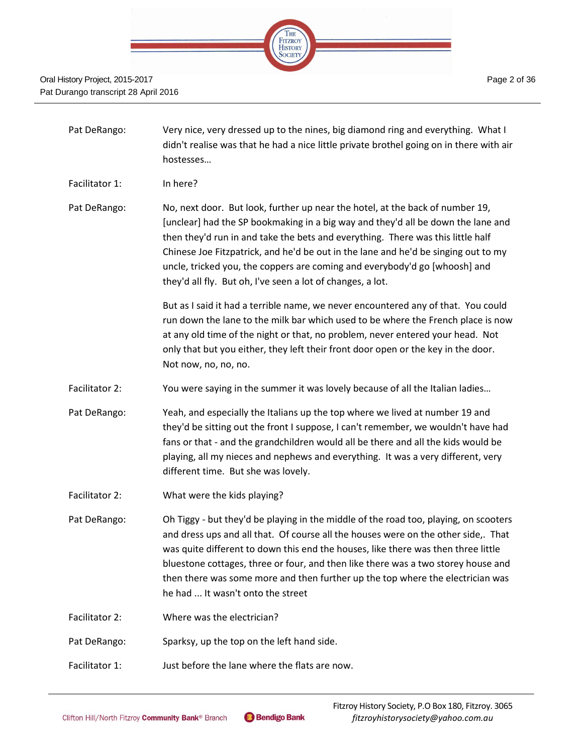

- Pat DeRango: Very nice, very dressed up to the nines, big diamond ring and everything. What I didn't realise was that he had a nice little private brothel going on in there with air hostesses… Facilitator 1: In here?
- Pat DeRango: No, next door. But look, further up near the hotel, at the back of number 19, [unclear] had the SP bookmaking in a big way and they'd all be down the lane and then they'd run in and take the bets and everything. There was this little half Chinese Joe Fitzpatrick, and he'd be out in the lane and he'd be singing out to my uncle, tricked you, the coppers are coming and everybody'd go [whoosh] and they'd all fly. But oh, I've seen a lot of changes, a lot.

But as I said it had a terrible name, we never encountered any of that. You could run down the lane to the milk bar which used to be where the French place is now at any old time of the night or that, no problem, never entered your head. Not only that but you either, they left their front door open or the key in the door. Not now, no, no, no.

- Facilitator 2: You were saying in the summer it was lovely because of all the Italian ladies...
- Pat DeRango: Yeah, and especially the Italians up the top where we lived at number 19 and they'd be sitting out the front I suppose, I can't remember, we wouldn't have had fans or that - and the grandchildren would all be there and all the kids would be playing, all my nieces and nephews and everything. It was a very different, very different time. But she was lovely.
- Facilitator 2: What were the kids playing?
- Pat DeRango: Oh Tiggy but they'd be playing in the middle of the road too, playing, on scooters and dress ups and all that. Of course all the houses were on the other side,. That was quite different to down this end the houses, like there was then three little bluestone cottages, three or four, and then like there was a two storey house and then there was some more and then further up the top where the electrician was he had ... It wasn't onto the street
- Facilitator 2: Where was the electrician?
- Pat DeRango: Sparksy, up the top on the left hand side.
- Facilitator 1: Just before the lane where the flats are now.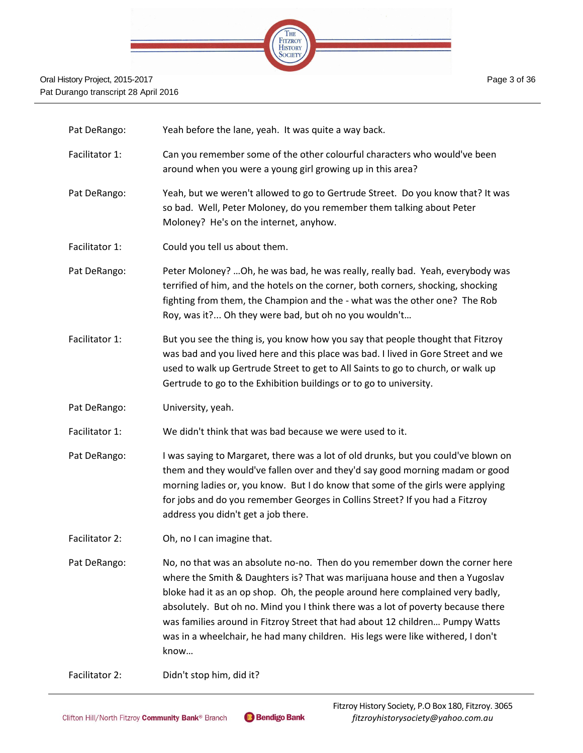

| Pat DeRango:   | Yeah before the lane, yeah. It was quite a way back.                                                                                                                                                                                                                                                                                                                                                                                                                                                         |
|----------------|--------------------------------------------------------------------------------------------------------------------------------------------------------------------------------------------------------------------------------------------------------------------------------------------------------------------------------------------------------------------------------------------------------------------------------------------------------------------------------------------------------------|
| Facilitator 1: | Can you remember some of the other colourful characters who would've been<br>around when you were a young girl growing up in this area?                                                                                                                                                                                                                                                                                                                                                                      |
| Pat DeRango:   | Yeah, but we weren't allowed to go to Gertrude Street. Do you know that? It was<br>so bad. Well, Peter Moloney, do you remember them talking about Peter<br>Moloney? He's on the internet, anyhow.                                                                                                                                                                                                                                                                                                           |
| Facilitator 1: | Could you tell us about them.                                                                                                                                                                                                                                                                                                                                                                                                                                                                                |
| Pat DeRango:   | Peter Moloney?  Oh, he was bad, he was really, really bad. Yeah, everybody was<br>terrified of him, and the hotels on the corner, both corners, shocking, shocking<br>fighting from them, the Champion and the - what was the other one? The Rob<br>Roy, was it? Oh they were bad, but oh no you wouldn't                                                                                                                                                                                                    |
| Facilitator 1: | But you see the thing is, you know how you say that people thought that Fitzroy<br>was bad and you lived here and this place was bad. I lived in Gore Street and we<br>used to walk up Gertrude Street to get to All Saints to go to church, or walk up<br>Gertrude to go to the Exhibition buildings or to go to university.                                                                                                                                                                                |
| Pat DeRango:   | University, yeah.                                                                                                                                                                                                                                                                                                                                                                                                                                                                                            |
| Facilitator 1: | We didn't think that was bad because we were used to it.                                                                                                                                                                                                                                                                                                                                                                                                                                                     |
| Pat DeRango:   | I was saying to Margaret, there was a lot of old drunks, but you could've blown on<br>them and they would've fallen over and they'd say good morning madam or good<br>morning ladies or, you know. But I do know that some of the girls were applying<br>for jobs and do you remember Georges in Collins Street? If you had a Fitzroy<br>address you didn't get a job there.                                                                                                                                 |
| Facilitator 2: | Oh, no I can imagine that.                                                                                                                                                                                                                                                                                                                                                                                                                                                                                   |
| Pat DeRango:   | No, no that was an absolute no-no. Then do you remember down the corner here<br>where the Smith & Daughters is? That was marijuana house and then a Yugoslav<br>bloke had it as an op shop. Oh, the people around here complained very badly,<br>absolutely. But oh no. Mind you I think there was a lot of poverty because there<br>was families around in Fitzroy Street that had about 12 children Pumpy Watts<br>was in a wheelchair, he had many children. His legs were like withered, I don't<br>know |
| Facilitator 2: | Didn't stop him, did it?                                                                                                                                                                                                                                                                                                                                                                                                                                                                                     |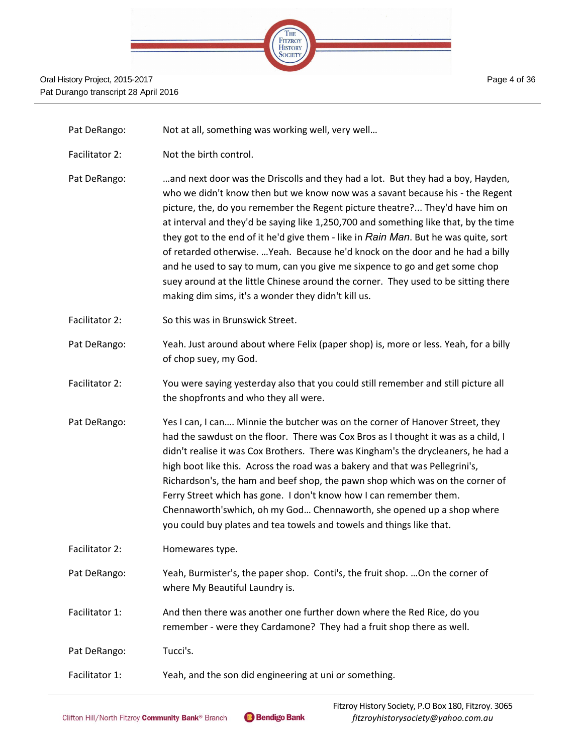

Pat DeRango: Not at all, something was working well, very well...

- Facilitator 2: Not the birth control.
- Pat DeRango: …and next door was the Driscolls and they had a lot. But they had a boy, Hayden, who we didn't know then but we know now was a savant because his - the Regent picture, the, do you remember the Regent picture theatre?... They'd have him on at interval and they'd be saying like 1,250,700 and something like that, by the time they got to the end of it he'd give them - like in *Rain Man*. But he was quite, sort of retarded otherwise. …Yeah. Because he'd knock on the door and he had a billy and he used to say to mum, can you give me sixpence to go and get some chop suey around at the little Chinese around the corner. They used to be sitting there making dim sims, it's a wonder they didn't kill us.
- Facilitator 2: So this was in Brunswick Street.
- Pat DeRango: Yeah. Just around about where Felix (paper shop) is, more or less. Yeah, for a billy of chop suey, my God.
- Facilitator 2: You were saying yesterday also that you could still remember and still picture all the shopfronts and who they all were.
- Pat DeRango: Yes I can, I can.... Minnie the butcher was on the corner of Hanover Street, they had the sawdust on the floor. There was Cox Bros as I thought it was as a child, I didn't realise it was Cox Brothers. There was Kingham's the drycleaners, he had a high boot like this. Across the road was a bakery and that was Pellegrini's, Richardson's, the ham and beef shop, the pawn shop which was on the corner of Ferry Street which has gone. I don't know how I can remember them. Chennaworth'swhich, oh my God… Chennaworth, she opened up a shop where you could buy plates and tea towels and towels and things like that.
- Facilitator 2: Homewares type.
- Pat DeRango: Yeah, Burmister's, the paper shop. Conti's, the fruit shop. ... On the corner of where My Beautiful Laundry is.
- Facilitator 1: And then there was another one further down where the Red Rice, do you remember - were they Cardamone? They had a fruit shop there as well.
- Pat DeRango: Tucci's.
- Facilitator 1: Yeah, and the son did engineering at uni or something.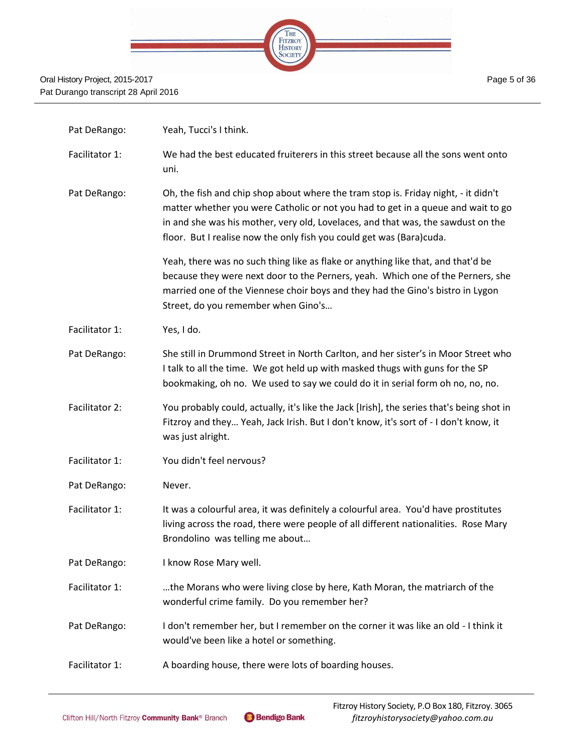

| Pat DeRango:   | Yeah, Tucci's I think.                                                                                                                                                                                                                                                                                                             |
|----------------|------------------------------------------------------------------------------------------------------------------------------------------------------------------------------------------------------------------------------------------------------------------------------------------------------------------------------------|
| Facilitator 1: | We had the best educated fruiterers in this street because all the sons went onto<br>uni.                                                                                                                                                                                                                                          |
| Pat DeRango:   | Oh, the fish and chip shop about where the tram stop is. Friday night, - it didn't<br>matter whether you were Catholic or not you had to get in a queue and wait to go<br>in and she was his mother, very old, Lovelaces, and that was, the sawdust on the<br>floor. But I realise now the only fish you could get was (Bara)cuda. |
|                | Yeah, there was no such thing like as flake or anything like that, and that'd be<br>because they were next door to the Perners, yeah. Which one of the Perners, she<br>married one of the Viennese choir boys and they had the Gino's bistro in Lygon<br>Street, do you remember when Gino's                                       |
| Facilitator 1: | Yes, I do.                                                                                                                                                                                                                                                                                                                         |
| Pat DeRango:   | She still in Drummond Street in North Carlton, and her sister's in Moor Street who<br>I talk to all the time. We got held up with masked thugs with guns for the SP<br>bookmaking, oh no. We used to say we could do it in serial form oh no, no, no.                                                                              |
| Facilitator 2: | You probably could, actually, it's like the Jack [Irish], the series that's being shot in<br>Fitzroy and they Yeah, Jack Irish. But I don't know, it's sort of - I don't know, it<br>was just alright.                                                                                                                             |
| Facilitator 1: | You didn't feel nervous?                                                                                                                                                                                                                                                                                                           |
| Pat DeRango:   | Never.                                                                                                                                                                                                                                                                                                                             |
| Facilitator 1: | It was a colourful area, it was definitely a colourful area. You'd have prostitutes<br>living across the road, there were people of all different nationalities. Rose Mary<br>Brondolino was telling me about                                                                                                                      |
| Pat DeRango:   | I know Rose Mary well.                                                                                                                                                                                                                                                                                                             |
| Facilitator 1: | the Morans who were living close by here, Kath Moran, the matriarch of the<br>wonderful crime family. Do you remember her?                                                                                                                                                                                                         |
| Pat DeRango:   | I don't remember her, but I remember on the corner it was like an old - I think it<br>would've been like a hotel or something.                                                                                                                                                                                                     |
| Facilitator 1: | A boarding house, there were lots of boarding houses.                                                                                                                                                                                                                                                                              |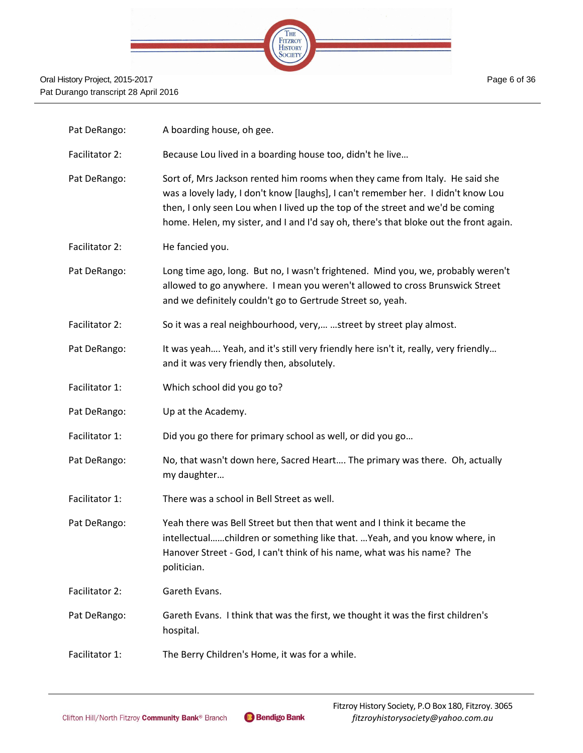

| Pat DeRango:   | A boarding house, oh gee.                                                                                                                                                                                                                                                                                                                    |
|----------------|----------------------------------------------------------------------------------------------------------------------------------------------------------------------------------------------------------------------------------------------------------------------------------------------------------------------------------------------|
| Facilitator 2: | Because Lou lived in a boarding house too, didn't he live                                                                                                                                                                                                                                                                                    |
| Pat DeRango:   | Sort of, Mrs Jackson rented him rooms when they came from Italy. He said she<br>was a lovely lady, I don't know [laughs], I can't remember her. I didn't know Lou<br>then, I only seen Lou when I lived up the top of the street and we'd be coming<br>home. Helen, my sister, and I and I'd say oh, there's that bloke out the front again. |
| Facilitator 2: | He fancied you.                                                                                                                                                                                                                                                                                                                              |
| Pat DeRango:   | Long time ago, long. But no, I wasn't frightened. Mind you, we, probably weren't<br>allowed to go anywhere. I mean you weren't allowed to cross Brunswick Street<br>and we definitely couldn't go to Gertrude Street so, yeah.                                                                                                               |
| Facilitator 2: | So it was a real neighbourhood, very,  street by street play almost.                                                                                                                                                                                                                                                                         |
| Pat DeRango:   | It was yeah Yeah, and it's still very friendly here isn't it, really, very friendly<br>and it was very friendly then, absolutely.                                                                                                                                                                                                            |
| Facilitator 1: | Which school did you go to?                                                                                                                                                                                                                                                                                                                  |
| Pat DeRango:   | Up at the Academy.                                                                                                                                                                                                                                                                                                                           |
| Facilitator 1: | Did you go there for primary school as well, or did you go                                                                                                                                                                                                                                                                                   |
| Pat DeRango:   | No, that wasn't down here, Sacred Heart The primary was there. Oh, actually<br>my daughter                                                                                                                                                                                                                                                   |
| Facilitator 1: | There was a school in Bell Street as well.                                                                                                                                                                                                                                                                                                   |
| Pat DeRango:   | Yeah there was Bell Street but then that went and I think it became the<br>intellectualchildren or something like that.  Yeah, and you know where, in<br>Hanover Street - God, I can't think of his name, what was his name? The<br>politician.                                                                                              |
| Facilitator 2: | Gareth Evans.                                                                                                                                                                                                                                                                                                                                |
| Pat DeRango:   | Gareth Evans. I think that was the first, we thought it was the first children's<br>hospital.                                                                                                                                                                                                                                                |
| Facilitator 1: | The Berry Children's Home, it was for a while.                                                                                                                                                                                                                                                                                               |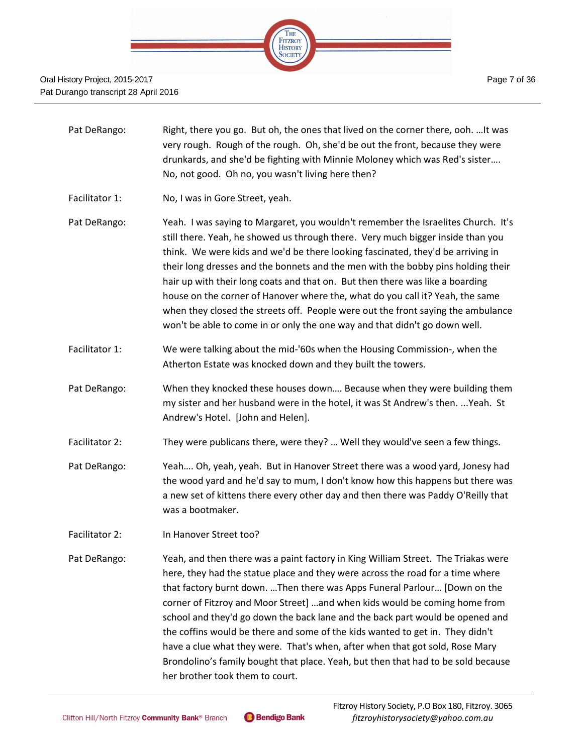

- Pat DeRango: Right, there you go. But oh, the ones that lived on the corner there, ooh. ... It was very rough. Rough of the rough. Oh, she'd be out the front, because they were drunkards, and she'd be fighting with Minnie Moloney which was Red's sister…. No, not good. Oh no, you wasn't living here then?
- Facilitator 1: No, I was in Gore Street, yeah.
- Pat DeRango: Yeah. I was saying to Margaret, you wouldn't remember the Israelites Church. It's still there. Yeah, he showed us through there. Very much bigger inside than you think. We were kids and we'd be there looking fascinated, they'd be arriving in their long dresses and the bonnets and the men with the bobby pins holding their hair up with their long coats and that on. But then there was like a boarding house on the corner of Hanover where the, what do you call it? Yeah, the same when they closed the streets off. People were out the front saying the ambulance won't be able to come in or only the one way and that didn't go down well.
- Facilitator 1: We were talking about the mid-'60s when the Housing Commission-, when the Atherton Estate was knocked down and they built the towers.
- Pat DeRango: When they knocked these houses down…. Because when they were building them my sister and her husband were in the hotel, it was St Andrew's then. ...Yeah. St Andrew's Hotel. [John and Helen].
- Facilitator 2: They were publicans there, were they? ... Well they would've seen a few things.
- Pat DeRango: Yeah…. Oh, yeah, yeah. But in Hanover Street there was a wood yard, Jonesy had the wood yard and he'd say to mum, I don't know how this happens but there was a new set of kittens there every other day and then there was Paddy O'Reilly that was a bootmaker.
- Facilitator 2: In Hanover Street too?
- Pat DeRango: Yeah, and then there was a paint factory in King William Street. The Triakas were here, they had the statue place and they were across the road for a time where that factory burnt down. …Then there was Apps Funeral Parlour… [Down on the corner of Fitzroy and Moor Street] …and when kids would be coming home from school and they'd go down the back lane and the back part would be opened and the coffins would be there and some of the kids wanted to get in. They didn't have a clue what they were. That's when, after when that got sold, Rose Mary Brondolino's family bought that place. Yeah, but then that had to be sold because her brother took them to court.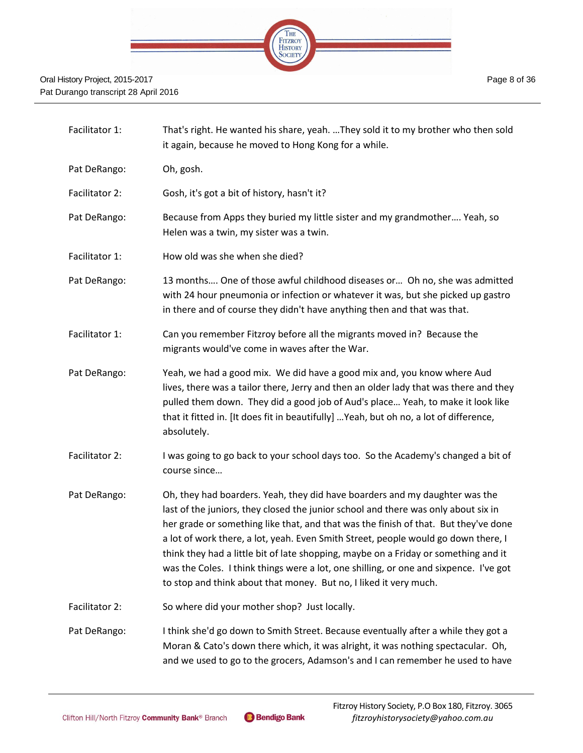

| Facilitator 1: | That's right. He wanted his share, yeah. They sold it to my brother who then sold<br>it again, because he moved to Hong Kong for a while.                                                                                                                                                                                                                                                                                                                                                                                                                                                           |
|----------------|-----------------------------------------------------------------------------------------------------------------------------------------------------------------------------------------------------------------------------------------------------------------------------------------------------------------------------------------------------------------------------------------------------------------------------------------------------------------------------------------------------------------------------------------------------------------------------------------------------|
| Pat DeRango:   | Oh, gosh.                                                                                                                                                                                                                                                                                                                                                                                                                                                                                                                                                                                           |
| Facilitator 2: | Gosh, it's got a bit of history, hasn't it?                                                                                                                                                                                                                                                                                                                                                                                                                                                                                                                                                         |
| Pat DeRango:   | Because from Apps they buried my little sister and my grandmother Yeah, so<br>Helen was a twin, my sister was a twin.                                                                                                                                                                                                                                                                                                                                                                                                                                                                               |
| Facilitator 1: | How old was she when she died?                                                                                                                                                                                                                                                                                                                                                                                                                                                                                                                                                                      |
| Pat DeRango:   | 13 months One of those awful childhood diseases or Oh no, she was admitted<br>with 24 hour pneumonia or infection or whatever it was, but she picked up gastro<br>in there and of course they didn't have anything then and that was that.                                                                                                                                                                                                                                                                                                                                                          |
| Facilitator 1: | Can you remember Fitzroy before all the migrants moved in? Because the<br>migrants would've come in waves after the War.                                                                                                                                                                                                                                                                                                                                                                                                                                                                            |
| Pat DeRango:   | Yeah, we had a good mix. We did have a good mix and, you know where Aud<br>lives, there was a tailor there, Jerry and then an older lady that was there and they<br>pulled them down. They did a good job of Aud's place Yeah, to make it look like<br>that it fitted in. [It does fit in beautifully]  Yeah, but oh no, a lot of difference,<br>absolutely.                                                                                                                                                                                                                                        |
| Facilitator 2: | I was going to go back to your school days too. So the Academy's changed a bit of<br>course since                                                                                                                                                                                                                                                                                                                                                                                                                                                                                                   |
| Pat DeRango:   | Oh, they had boarders. Yeah, they did have boarders and my daughter was the<br>last of the juniors, they closed the junior school and there was only about six in<br>her grade or something like that, and that was the finish of that. But they've done<br>a lot of work there, a lot, yeah. Even Smith Street, people would go down there, I<br>think they had a little bit of late shopping, maybe on a Friday or something and it<br>was the Coles. I think things were a lot, one shilling, or one and sixpence. I've got<br>to stop and think about that money. But no, I liked it very much. |
| Facilitator 2: | So where did your mother shop? Just locally.                                                                                                                                                                                                                                                                                                                                                                                                                                                                                                                                                        |
| Pat DeRango:   | I think she'd go down to Smith Street. Because eventually after a while they got a<br>Moran & Cato's down there which, it was alright, it was nothing spectacular. Oh,<br>and we used to go to the grocers, Adamson's and I can remember he used to have                                                                                                                                                                                                                                                                                                                                            |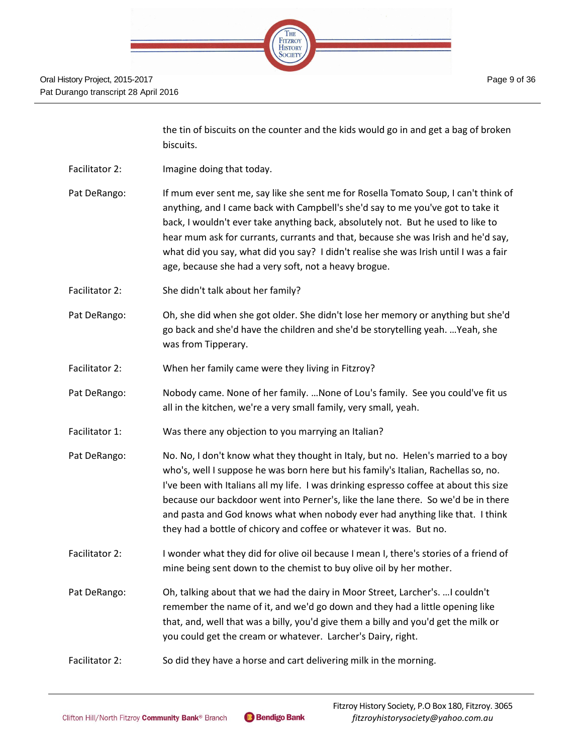| die. |  |                           |  |  |
|------|--|---------------------------|--|--|
|      |  |                           |  |  |
|      |  | THE<br>FITZROY<br>HISTORY |  |  |
|      |  |                           |  |  |
|      |  |                           |  |  |

| the tin of biscuits on the counter and the kids would go in and get a bag of broken |
|-------------------------------------------------------------------------------------|
| biscuits.                                                                           |
|                                                                                     |

- Facilitator 2: Imagine doing that today.
- Pat DeRango: If mum ever sent me, say like she sent me for Rosella Tomato Soup, I can't think of anything, and I came back with Campbell's she'd say to me you've got to take it back, I wouldn't ever take anything back, absolutely not. But he used to like to hear mum ask for currants, currants and that, because she was Irish and he'd say, what did you say, what did you say? I didn't realise she was Irish until I was a fair age, because she had a very soft, not a heavy brogue.
- Facilitator 2: She didn't talk about her family?
- Pat DeRango: Oh, she did when she got older. She didn't lose her memory or anything but she'd go back and she'd have the children and she'd be storytelling yeah. …Yeah, she was from Tipperary.
- Facilitator 2: When her family came were they living in Fitzroy?
- Pat DeRango: Nobody came. None of her family. …None of Lou's family. See you could've fit us all in the kitchen, we're a very small family, very small, yeah.
- Facilitator 1: Was there any objection to you marrying an Italian?
- Pat DeRango: No. No, I don't know what they thought in Italy, but no. Helen's married to a boy who's, well I suppose he was born here but his family's Italian, Rachellas so, no. I've been with Italians all my life. I was drinking espresso coffee at about this size because our backdoor went into Perner's, like the lane there. So we'd be in there and pasta and God knows what when nobody ever had anything like that. I think they had a bottle of chicory and coffee or whatever it was. But no.
- Facilitator 2: I wonder what they did for olive oil because I mean I, there's stories of a friend of mine being sent down to the chemist to buy olive oil by her mother.
- Pat DeRango: Oh, talking about that we had the dairy in Moor Street, Larcher's. …I couldn't remember the name of it, and we'd go down and they had a little opening like that, and, well that was a billy, you'd give them a billy and you'd get the milk or you could get the cream or whatever. Larcher's Dairy, right.
- Facilitator 2: So did they have a horse and cart delivering milk in the morning.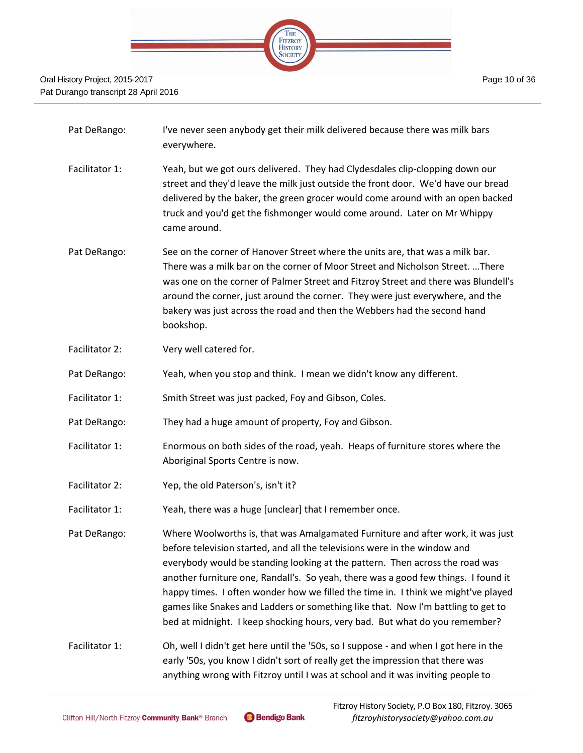

- Pat DeRango: I've never seen anybody get their milk delivered because there was milk bars everywhere.
- Facilitator 1: Yeah, but we got ours delivered. They had Clydesdales clip-clopping down our street and they'd leave the milk just outside the front door. We'd have our bread delivered by the baker, the green grocer would come around with an open backed truck and you'd get the fishmonger would come around. Later on Mr Whippy came around.
- Pat DeRango: See on the corner of Hanover Street where the units are, that was a milk bar. There was a milk bar on the corner of Moor Street and Nicholson Street. …There was one on the corner of Palmer Street and Fitzroy Street and there was Blundell's around the corner, just around the corner. They were just everywhere, and the bakery was just across the road and then the Webbers had the second hand bookshop.
- Facilitator 2: Very well catered for.
- Pat DeRango: Yeah, when you stop and think. I mean we didn't know any different.
- Facilitator 1: Smith Street was just packed, Foy and Gibson, Coles.
- Pat DeRango: They had a huge amount of property, Foy and Gibson.
- Facilitator 1: Enormous on both sides of the road, yeah. Heaps of furniture stores where the Aboriginal Sports Centre is now.
- Facilitator 2: Yep, the old Paterson's, isn't it?
- Facilitator 1: Yeah, there was a huge [unclear] that I remember once.
- Pat DeRango: Where Woolworths is, that was Amalgamated Furniture and after work, it was just before television started, and all the televisions were in the window and everybody would be standing looking at the pattern. Then across the road was another furniture one, Randall's. So yeah, there was a good few things. I found it happy times. I often wonder how we filled the time in. I think we might've played games like Snakes and Ladders or something like that. Now I'm battling to get to bed at midnight. I keep shocking hours, very bad. But what do you remember?
- Facilitator 1: Oh, well I didn't get here until the '50s, so I suppose and when I got here in the early '50s, you know I didn't sort of really get the impression that there was anything wrong with Fitzroy until I was at school and it was inviting people to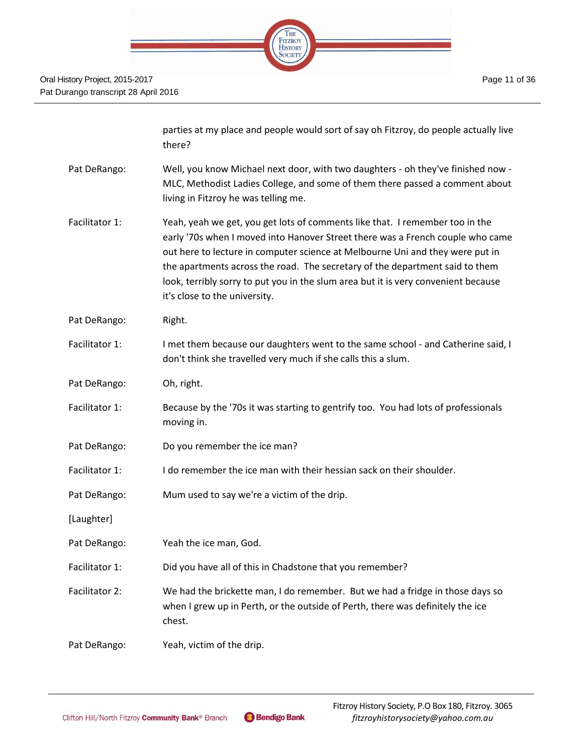| $-515 -$ |  |                                   |  |
|----------|--|-----------------------------------|--|
|          |  |                                   |  |
|          |  | THE FITZROY<br>HISTORY<br>SOCIETY |  |
|          |  |                                   |  |

|                | parties at my place and people would sort of say oh Fitzroy, do people actually live<br>there?                                                                                                                                                                                                                                                                                                                                                         |
|----------------|--------------------------------------------------------------------------------------------------------------------------------------------------------------------------------------------------------------------------------------------------------------------------------------------------------------------------------------------------------------------------------------------------------------------------------------------------------|
| Pat DeRango:   | Well, you know Michael next door, with two daughters - oh they've finished now -<br>MLC, Methodist Ladies College, and some of them there passed a comment about<br>living in Fitzroy he was telling me.                                                                                                                                                                                                                                               |
| Facilitator 1: | Yeah, yeah we get, you get lots of comments like that. I remember too in the<br>early '70s when I moved into Hanover Street there was a French couple who came<br>out here to lecture in computer science at Melbourne Uni and they were put in<br>the apartments across the road. The secretary of the department said to them<br>look, terribly sorry to put you in the slum area but it is very convenient because<br>it's close to the university. |
| Pat DeRango:   | Right.                                                                                                                                                                                                                                                                                                                                                                                                                                                 |
| Facilitator 1: | I met them because our daughters went to the same school - and Catherine said, I<br>don't think she travelled very much if she calls this a slum.                                                                                                                                                                                                                                                                                                      |
| Pat DeRango:   | Oh, right.                                                                                                                                                                                                                                                                                                                                                                                                                                             |
| Facilitator 1: | Because by the '70s it was starting to gentrify too. You had lots of professionals<br>moving in.                                                                                                                                                                                                                                                                                                                                                       |
| Pat DeRango:   | Do you remember the ice man?                                                                                                                                                                                                                                                                                                                                                                                                                           |
| Facilitator 1: | I do remember the ice man with their hessian sack on their shoulder.                                                                                                                                                                                                                                                                                                                                                                                   |
| Pat DeRango:   | Mum used to say we're a victim of the drip.                                                                                                                                                                                                                                                                                                                                                                                                            |
| [Laughter]     |                                                                                                                                                                                                                                                                                                                                                                                                                                                        |
| Pat DeRango:   | Yeah the ice man, God.                                                                                                                                                                                                                                                                                                                                                                                                                                 |
| Facilitator 1: | Did you have all of this in Chadstone that you remember?                                                                                                                                                                                                                                                                                                                                                                                               |
| Facilitator 2: | We had the brickette man, I do remember. But we had a fridge in those days so<br>when I grew up in Perth, or the outside of Perth, there was definitely the ice<br>chest.                                                                                                                                                                                                                                                                              |
| Pat DeRango:   | Yeah, victim of the drip.                                                                                                                                                                                                                                                                                                                                                                                                                              |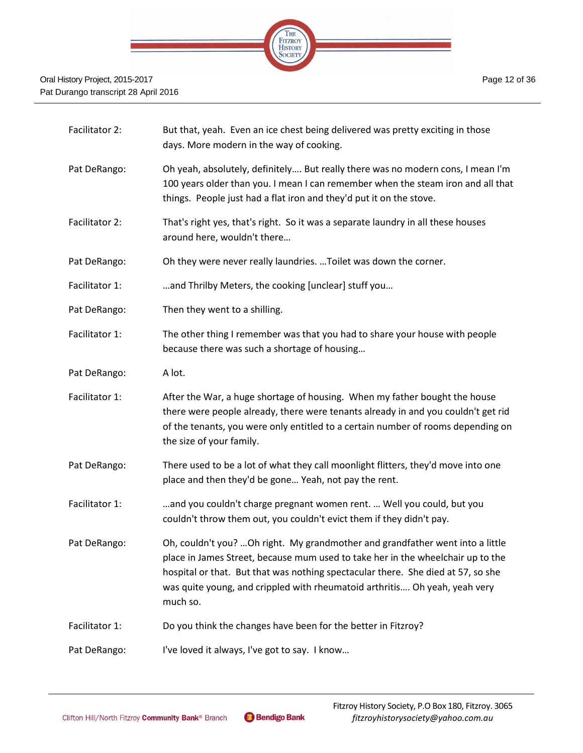

| Facilitator 2: | But that, yeah. Even an ice chest being delivered was pretty exciting in those<br>days. More modern in the way of cooking.                                                                                                                                                                                                                     |
|----------------|------------------------------------------------------------------------------------------------------------------------------------------------------------------------------------------------------------------------------------------------------------------------------------------------------------------------------------------------|
| Pat DeRango:   | Oh yeah, absolutely, definitely But really there was no modern cons, I mean I'm<br>100 years older than you. I mean I can remember when the steam iron and all that<br>things. People just had a flat iron and they'd put it on the stove.                                                                                                     |
| Facilitator 2: | That's right yes, that's right. So it was a separate laundry in all these houses<br>around here, wouldn't there                                                                                                                                                                                                                                |
| Pat DeRango:   | Oh they were never really laundries.  Toilet was down the corner.                                                                                                                                                                                                                                                                              |
| Facilitator 1: | and Thrilby Meters, the cooking [unclear] stuff you                                                                                                                                                                                                                                                                                            |
| Pat DeRango:   | Then they went to a shilling.                                                                                                                                                                                                                                                                                                                  |
| Facilitator 1: | The other thing I remember was that you had to share your house with people<br>because there was such a shortage of housing                                                                                                                                                                                                                    |
| Pat DeRango:   | A lot.                                                                                                                                                                                                                                                                                                                                         |
| Facilitator 1: | After the War, a huge shortage of housing. When my father bought the house<br>there were people already, there were tenants already in and you couldn't get rid<br>of the tenants, you were only entitled to a certain number of rooms depending on<br>the size of your family.                                                                |
| Pat DeRango:   | There used to be a lot of what they call moonlight flitters, they'd move into one<br>place and then they'd be gone Yeah, not pay the rent.                                                                                                                                                                                                     |
| Facilitator 1: | and you couldn't charge pregnant women rent.  Well you could, but you<br>couldn't throw them out, you couldn't evict them if they didn't pay.                                                                                                                                                                                                  |
| Pat DeRango:   | Oh, couldn't you? Oh right. My grandmother and grandfather went into a little<br>place in James Street, because mum used to take her in the wheelchair up to the<br>hospital or that. But that was nothing spectacular there. She died at 57, so she<br>was quite young, and crippled with rheumatoid arthritis Oh yeah, yeah very<br>much so. |
| Facilitator 1: | Do you think the changes have been for the better in Fitzroy?                                                                                                                                                                                                                                                                                  |
| Pat DeRango:   | I've loved it always, I've got to say. I know                                                                                                                                                                                                                                                                                                  |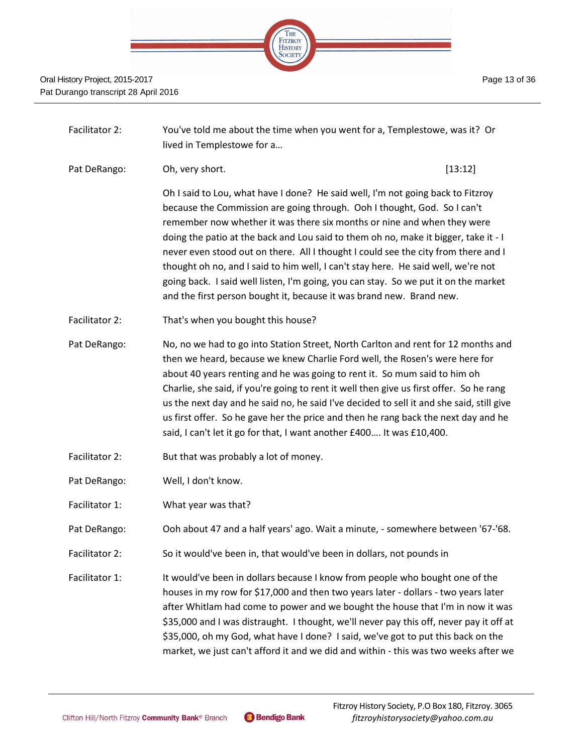

- Facilitator 2: You've told me about the time when you went for a, Templestowe, was it? Or lived in Templestowe for a…
- Pat DeRango: Ch, very short. Change and the control of the control of the control of the control of the control of the control of the control of the control of the control of the control of the control of the control of th

Oh I said to Lou, what have I done? He said well, I'm not going back to Fitzroy because the Commission are going through. Ooh I thought, God. So I can't remember now whether it was there six months or nine and when they were doing the patio at the back and Lou said to them oh no, make it bigger, take it - I never even stood out on there. All I thought I could see the city from there and I thought oh no, and I said to him well, I can't stay here. He said well, we're not going back. I said well listen, I'm going, you can stay. So we put it on the market and the first person bought it, because it was brand new. Brand new.

Facilitator 2: That's when you bought this house?

Pat DeRango: No, no we had to go into Station Street, North Carlton and rent for 12 months and then we heard, because we knew Charlie Ford well, the Rosen's were here for about 40 years renting and he was going to rent it. So mum said to him oh Charlie, she said, if you're going to rent it well then give us first offer. So he rang us the next day and he said no, he said I've decided to sell it and she said, still give us first offer. So he gave her the price and then he rang back the next day and he said, I can't let it go for that, I want another £400…. It was £10,400.

- Facilitator 2: But that was probably a lot of money.
- Pat DeRango: Well, I don't know.
- Facilitator 1: What year was that?
- Pat DeRango: Ooh about 47 and a half years' ago. Wait a minute, somewhere between '67-'68.
- Facilitator 2: So it would've been in, that would've been in dollars, not pounds in
- Facilitator 1: It would've been in dollars because I know from people who bought one of the houses in my row for \$17,000 and then two years later - dollars - two years later after Whitlam had come to power and we bought the house that I'm in now it was \$35,000 and I was distraught. I thought, we'll never pay this off, never pay it off at \$35,000, oh my God, what have I done? I said, we've got to put this back on the market, we just can't afford it and we did and within - this was two weeks after we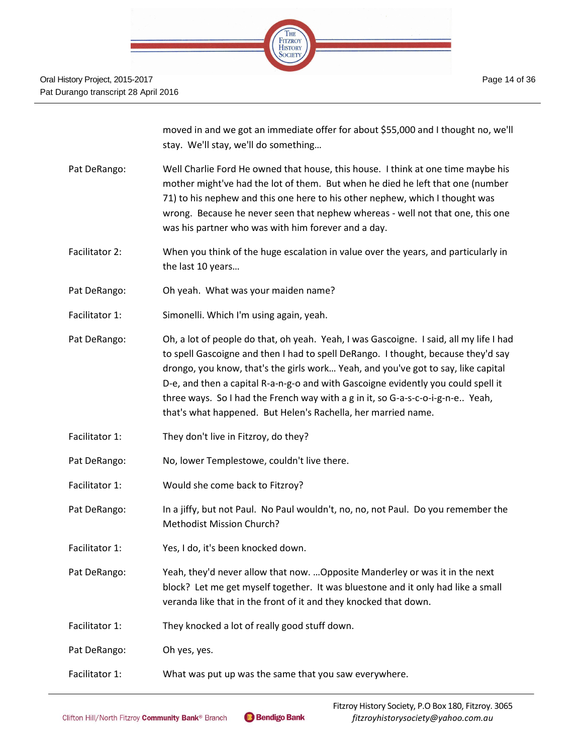

moved in and we got an immediate offer for about \$55,000 and I thought no, we'll stay. We'll stay, we'll do something…

- Pat DeRango: Well Charlie Ford He owned that house, this house. I think at one time maybe his mother might've had the lot of them. But when he died he left that one (number 71) to his nephew and this one here to his other nephew, which I thought was wrong. Because he never seen that nephew whereas - well not that one, this one was his partner who was with him forever and a day.
- Facilitator 2: When you think of the huge escalation in value over the years, and particularly in the last 10 years…
- Pat DeRango: Oh yeah. What was your maiden name?
- Facilitator 1: Simonelli. Which I'm using again, yeah.
- Pat DeRango: Oh, a lot of people do that, oh yeah. Yeah, I was Gascoigne. I said, all my life I had to spell Gascoigne and then I had to spell DeRango. I thought, because they'd say drongo, you know, that's the girls work… Yeah, and you've got to say, like capital D-e, and then a capital R-a-n-g-o and with Gascoigne evidently you could spell it three ways. So I had the French way with a g in it, so G-a-s-c-o-i-g-n-e.. Yeah, that's what happened. But Helen's Rachella, her married name.
- Facilitator 1: They don't live in Fitzroy, do they?
- Pat DeRango: No, lower Templestowe, couldn't live there.
- Facilitator 1: Would she come back to Fitzroy?
- Pat DeRango: In a jiffy, but not Paul. No Paul wouldn't, no, no, not Paul. Do you remember the Methodist Mission Church?
- Facilitator 1: Yes, I do, it's been knocked down.
- Pat DeRango: Yeah, they'd never allow that now. …Opposite Manderley or was it in the next block? Let me get myself together. It was bluestone and it only had like a small veranda like that in the front of it and they knocked that down.
- Facilitator 1: They knocked a lot of really good stuff down.
- Pat DeRango: Oh yes, yes.
- Facilitator 1: What was put up was the same that you saw everywhere.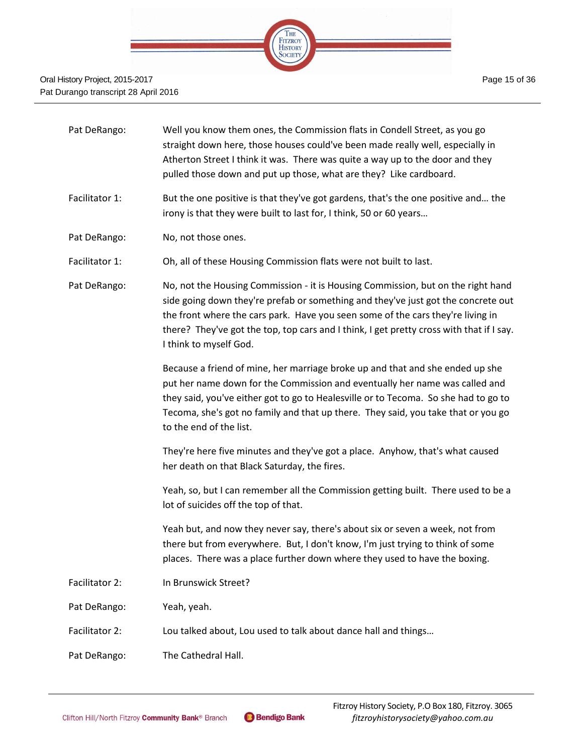

| Pat DeRango:   | Well you know them ones, the Commission flats in Condell Street, as you go<br>straight down here, those houses could've been made really well, especially in<br>Atherton Street I think it was. There was quite a way up to the door and they<br>pulled those down and put up those, what are they? Like cardboard.                                                            |
|----------------|--------------------------------------------------------------------------------------------------------------------------------------------------------------------------------------------------------------------------------------------------------------------------------------------------------------------------------------------------------------------------------|
| Facilitator 1: | But the one positive is that they've got gardens, that's the one positive and the<br>irony is that they were built to last for, I think, 50 or 60 years                                                                                                                                                                                                                        |
| Pat DeRango:   | No, not those ones.                                                                                                                                                                                                                                                                                                                                                            |
| Facilitator 1: | Oh, all of these Housing Commission flats were not built to last.                                                                                                                                                                                                                                                                                                              |
| Pat DeRango:   | No, not the Housing Commission - it is Housing Commission, but on the right hand<br>side going down they're prefab or something and they've just got the concrete out<br>the front where the cars park. Have you seen some of the cars they're living in<br>there? They've got the top, top cars and I think, I get pretty cross with that if I say.<br>I think to myself God. |
|                | Because a friend of mine, her marriage broke up and that and she ended up she<br>put her name down for the Commission and eventually her name was called and<br>they said, you've either got to go to Healesville or to Tecoma. So she had to go to<br>Tecoma, she's got no family and that up there. They said, you take that or you go<br>to the end of the list.            |
|                | They're here five minutes and they've got a place. Anyhow, that's what caused<br>her death on that Black Saturday, the fires.                                                                                                                                                                                                                                                  |
|                | Yeah, so, but I can remember all the Commission getting built. There used to be a<br>lot of suicides off the top of that.                                                                                                                                                                                                                                                      |
|                | Yeah but, and now they never say, there's about six or seven a week, not from<br>there but from everywhere. But, I don't know, I'm just trying to think of some<br>places. There was a place further down where they used to have the boxing.                                                                                                                                  |
| Facilitator 2: | In Brunswick Street?                                                                                                                                                                                                                                                                                                                                                           |
| Pat DeRango:   | Yeah, yeah.                                                                                                                                                                                                                                                                                                                                                                    |
| Facilitator 2: | Lou talked about, Lou used to talk about dance hall and things                                                                                                                                                                                                                                                                                                                 |
| Pat DeRango:   | The Cathedral Hall.                                                                                                                                                                                                                                                                                                                                                            |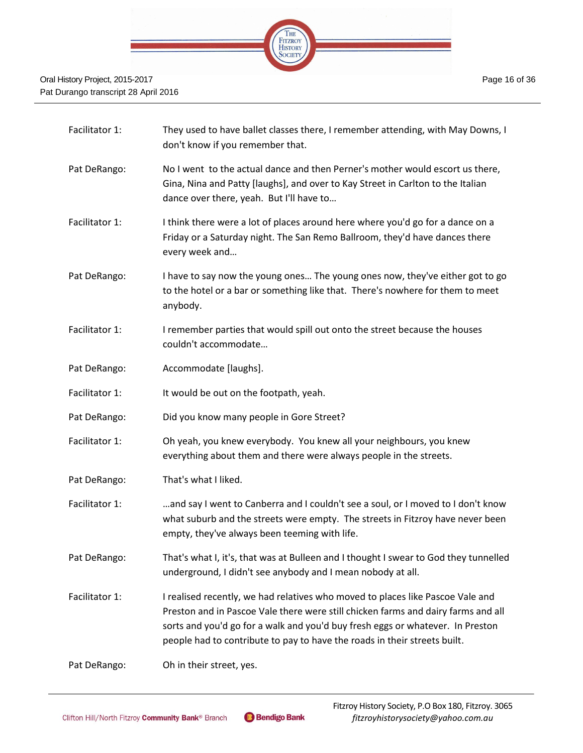

| Facilitator 1:  | They used to have ballet classes there, I remember attending, with May Downs, I<br>don't know if you remember that.                                                                                                                                                                                                                |
|-----------------|------------------------------------------------------------------------------------------------------------------------------------------------------------------------------------------------------------------------------------------------------------------------------------------------------------------------------------|
| Pat DeRango:    | No I went to the actual dance and then Perner's mother would escort us there,<br>Gina, Nina and Patty [laughs], and over to Kay Street in Carlton to the Italian<br>dance over there, yeah. But I'll have to                                                                                                                       |
| Facilitator 1:  | I think there were a lot of places around here where you'd go for a dance on a<br>Friday or a Saturday night. The San Remo Ballroom, they'd have dances there<br>every week and                                                                                                                                                    |
| Pat DeRango:    | I have to say now the young ones The young ones now, they've either got to go<br>to the hotel or a bar or something like that. There's nowhere for them to meet<br>anybody.                                                                                                                                                        |
| Facilitator 1:  | I remember parties that would spill out onto the street because the houses<br>couldn't accommodate                                                                                                                                                                                                                                 |
| Pat DeRango:    | Accommodate [laughs].                                                                                                                                                                                                                                                                                                              |
| Facilitator 1:  | It would be out on the footpath, yeah.                                                                                                                                                                                                                                                                                             |
| Pat DeRango:    | Did you know many people in Gore Street?                                                                                                                                                                                                                                                                                           |
| Facilitator 1:  | Oh yeah, you knew everybody. You knew all your neighbours, you knew<br>everything about them and there were always people in the streets.                                                                                                                                                                                          |
| Pat DeRango:    | That's what I liked.                                                                                                                                                                                                                                                                                                               |
| Facilitator 1:  | and say I went to Canberra and I couldn't see a soul, or I moved to I don't know<br>what suburb and the streets were empty. The streets in Fitzroy have never been<br>empty, they've always been teeming with life.                                                                                                                |
| Pat DeRango:    | That's what I, it's, that was at Bulleen and I thought I swear to God they tunnelled<br>underground, I didn't see anybody and I mean nobody at all.                                                                                                                                                                                |
| Facilitator 1:  | I realised recently, we had relatives who moved to places like Pascoe Vale and<br>Preston and in Pascoe Vale there were still chicken farms and dairy farms and all<br>sorts and you'd go for a walk and you'd buy fresh eggs or whatever. In Preston<br>people had to contribute to pay to have the roads in their streets built. |
| $D2 + D2D2 = 0$ | $\bigcap$ $\bigcup_{i=1}^n$ that is at in a to $\bigcap$                                                                                                                                                                                                                                                                           |

Pat DeRango: Oh in their street, yes.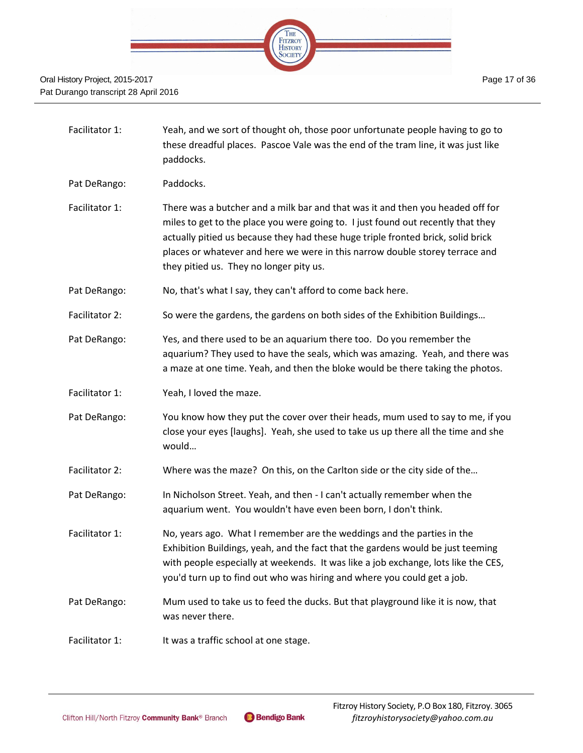

- Facilitator 1: Yeah, and we sort of thought oh, those poor unfortunate people having to go to these dreadful places. Pascoe Vale was the end of the tram line, it was just like paddocks.
- Pat DeRango: Paddocks.
- Facilitator 1: There was a butcher and a milk bar and that was it and then you headed off for miles to get to the place you were going to. I just found out recently that they actually pitied us because they had these huge triple fronted brick, solid brick places or whatever and here we were in this narrow double storey terrace and they pitied us. They no longer pity us.
- Pat DeRango: No, that's what I say, they can't afford to come back here.
- Facilitator 2: So were the gardens, the gardens on both sides of the Exhibition Buildings...
- Pat DeRango: Yes, and there used to be an aquarium there too. Do you remember the aquarium? They used to have the seals, which was amazing. Yeah, and there was a maze at one time. Yeah, and then the bloke would be there taking the photos.
- Facilitator 1: Yeah, I loved the maze.
- Pat DeRango: You know how they put the cover over their heads, mum used to say to me, if you close your eyes [laughs]. Yeah, she used to take us up there all the time and she would…
- Facilitator 2: Where was the maze? On this, on the Carlton side or the city side of the...
- Pat DeRango: In Nicholson Street. Yeah, and then I can't actually remember when the aquarium went. You wouldn't have even been born, I don't think.
- Facilitator 1: No, years ago. What I remember are the weddings and the parties in the Exhibition Buildings, yeah, and the fact that the gardens would be just teeming with people especially at weekends. It was like a job exchange, lots like the CES, you'd turn up to find out who was hiring and where you could get a job.
- Pat DeRango: Mum used to take us to feed the ducks. But that playground like it is now, that was never there.
- Facilitator 1: It was a traffic school at one stage.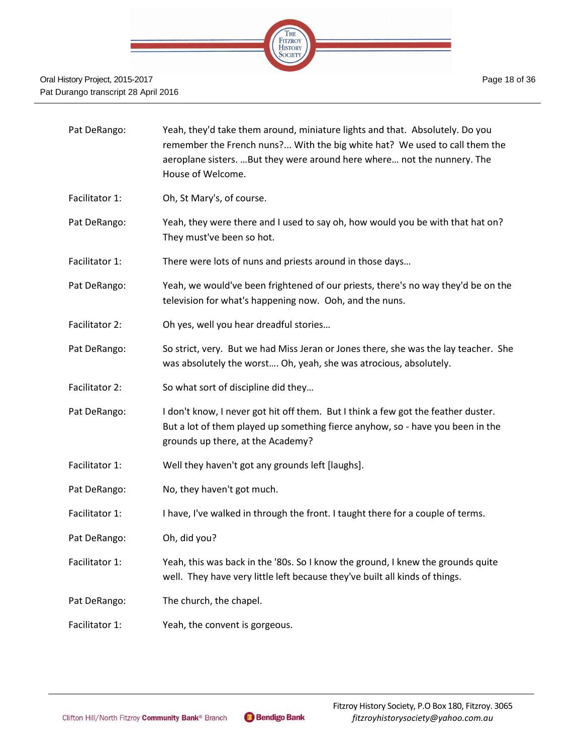

| Pat DeRango:   | Yeah, they'd take them around, miniature lights and that. Absolutely. Do you<br>remember the French nuns? With the big white hat? We used to call them the<br>aeroplane sisters. But they were around here where not the nunnery. The<br>House of Welcome. |
|----------------|------------------------------------------------------------------------------------------------------------------------------------------------------------------------------------------------------------------------------------------------------------|
| Facilitator 1: | Oh, St Mary's, of course.                                                                                                                                                                                                                                  |
| Pat DeRango:   | Yeah, they were there and I used to say oh, how would you be with that hat on?<br>They must've been so hot.                                                                                                                                                |
| Facilitator 1: | There were lots of nuns and priests around in those days                                                                                                                                                                                                   |
| Pat DeRango:   | Yeah, we would've been frightened of our priests, there's no way they'd be on the<br>television for what's happening now. Ooh, and the nuns.                                                                                                               |
| Facilitator 2: | Oh yes, well you hear dreadful stories                                                                                                                                                                                                                     |
| Pat DeRango:   | So strict, very. But we had Miss Jeran or Jones there, she was the lay teacher. She<br>was absolutely the worst Oh, yeah, she was atrocious, absolutely.                                                                                                   |
| Facilitator 2: | So what sort of discipline did they                                                                                                                                                                                                                        |
| Pat DeRango:   | I don't know, I never got hit off them. But I think a few got the feather duster.<br>But a lot of them played up something fierce anyhow, so - have you been in the<br>grounds up there, at the Academy?                                                   |
| Facilitator 1: | Well they haven't got any grounds left [laughs].                                                                                                                                                                                                           |
| Pat DeRango:   | No, they haven't got much.                                                                                                                                                                                                                                 |
| Facilitator 1: | I have, I've walked in through the front. I taught there for a couple of terms.                                                                                                                                                                            |
| Pat DeRango:   | Oh, did you?                                                                                                                                                                                                                                               |
| Facilitator 1: | Yeah, this was back in the '80s. So I know the ground, I knew the grounds quite<br>well. They have very little left because they've built all kinds of things.                                                                                             |
| Pat DeRango:   | The church, the chapel.                                                                                                                                                                                                                                    |
| Facilitator 1: | Yeah, the convent is gorgeous.                                                                                                                                                                                                                             |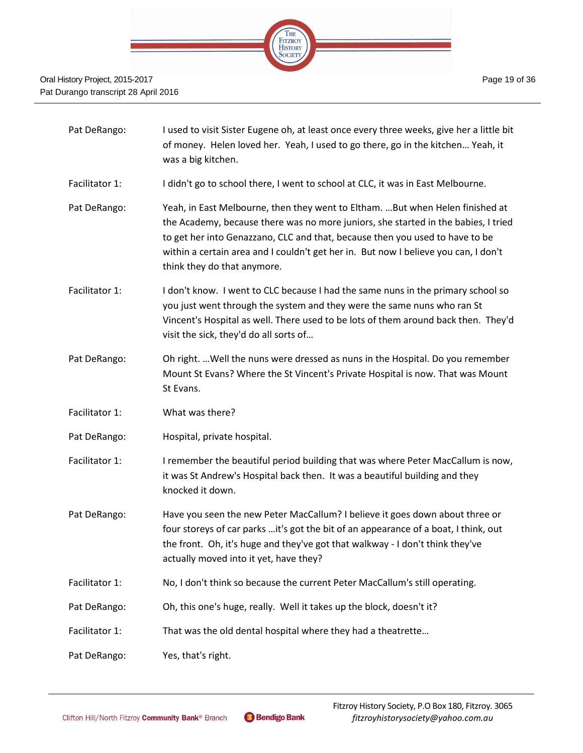

- Pat DeRango: I used to visit Sister Eugene oh, at least once every three weeks, give her a little bit of money. Helen loved her. Yeah, I used to go there, go in the kitchen… Yeah, it was a big kitchen.
- Facilitator 1: I didn't go to school there, I went to school at CLC, it was in East Melbourne.
- Pat DeRango: Yeah, in East Melbourne, then they went to Eltham. …But when Helen finished at the Academy, because there was no more juniors, she started in the babies, I tried to get her into Genazzano, CLC and that, because then you used to have to be within a certain area and I couldn't get her in. But now I believe you can, I don't think they do that anymore.
- Facilitator 1: I don't know. I went to CLC because I had the same nuns in the primary school so you just went through the system and they were the same nuns who ran St Vincent's Hospital as well. There used to be lots of them around back then. They'd visit the sick, they'd do all sorts of…
- Pat DeRango: Oh right. …Well the nuns were dressed as nuns in the Hospital. Do you remember Mount St Evans? Where the St Vincent's Private Hospital is now. That was Mount St Evans.
- Facilitator 1: What was there?
- Pat DeRango: Hospital, private hospital.
- Facilitator 1: I remember the beautiful period building that was where Peter MacCallum is now, it was St Andrew's Hospital back then. It was a beautiful building and they knocked it down.
- Pat DeRango: Have you seen the new Peter MacCallum? I believe it goes down about three or four storeys of car parks …it's got the bit of an appearance of a boat, I think, out the front. Oh, it's huge and they've got that walkway - I don't think they've actually moved into it yet, have they?
- Facilitator 1: No, I don't think so because the current Peter MacCallum's still operating.
- Pat DeRango: Oh, this one's huge, really. Well it takes up the block, doesn't it?
- Facilitator 1: That was the old dental hospital where they had a theatrette...
- Pat DeRango: Yes, that's right.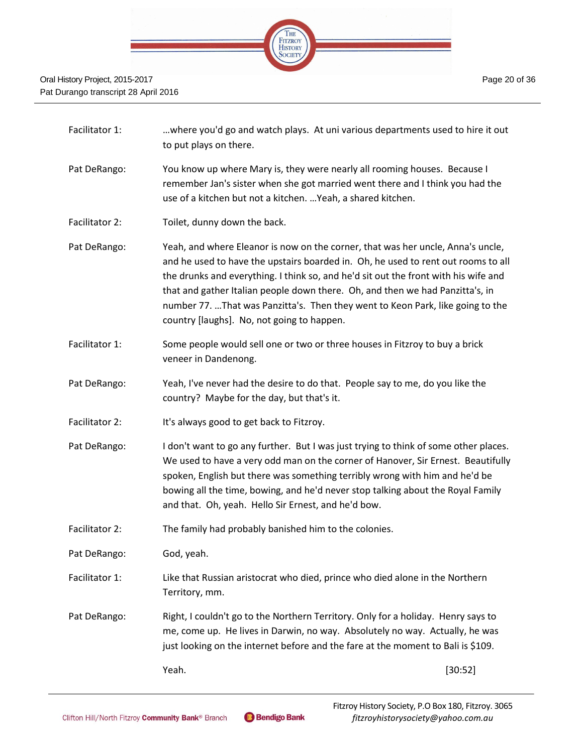

| Facilitator 1: | where you'd go and watch plays. At uni various departments used to hire it out<br>to put plays on there.                                                                                                                                                                                                                                                                                                                                                                     |
|----------------|------------------------------------------------------------------------------------------------------------------------------------------------------------------------------------------------------------------------------------------------------------------------------------------------------------------------------------------------------------------------------------------------------------------------------------------------------------------------------|
| Pat DeRango:   | You know up where Mary is, they were nearly all rooming houses. Because I<br>remember Jan's sister when she got married went there and I think you had the<br>use of a kitchen but not a kitchen.  Yeah, a shared kitchen.                                                                                                                                                                                                                                                   |
| Facilitator 2: | Toilet, dunny down the back.                                                                                                                                                                                                                                                                                                                                                                                                                                                 |
| Pat DeRango:   | Yeah, and where Eleanor is now on the corner, that was her uncle, Anna's uncle,<br>and he used to have the upstairs boarded in. Oh, he used to rent out rooms to all<br>the drunks and everything. I think so, and he'd sit out the front with his wife and<br>that and gather Italian people down there. Oh, and then we had Panzitta's, in<br>number 77. That was Panzitta's. Then they went to Keon Park, like going to the<br>country [laughs]. No, not going to happen. |
| Facilitator 1: | Some people would sell one or two or three houses in Fitzroy to buy a brick<br>veneer in Dandenong.                                                                                                                                                                                                                                                                                                                                                                          |
| Pat DeRango:   | Yeah, I've never had the desire to do that. People say to me, do you like the<br>country? Maybe for the day, but that's it.                                                                                                                                                                                                                                                                                                                                                  |
| Facilitator 2: | It's always good to get back to Fitzroy.                                                                                                                                                                                                                                                                                                                                                                                                                                     |
| Pat DeRango:   | I don't want to go any further. But I was just trying to think of some other places.<br>We used to have a very odd man on the corner of Hanover, Sir Ernest. Beautifully<br>spoken, English but there was something terribly wrong with him and he'd be<br>bowing all the time, bowing, and he'd never stop talking about the Royal Family<br>and that. Oh, yeah. Hello Sir Ernest, and he'd bow.                                                                            |
| Facilitator 2: | The family had probably banished him to the colonies.                                                                                                                                                                                                                                                                                                                                                                                                                        |
| Pat DeRango:   | God, yeah.                                                                                                                                                                                                                                                                                                                                                                                                                                                                   |
| Facilitator 1: | Like that Russian aristocrat who died, prince who died alone in the Northern<br>Territory, mm.                                                                                                                                                                                                                                                                                                                                                                               |
| Dat DePango:   | Right Lonuldn't go to the Northern Territory Only for a holiday. Henny says to                                                                                                                                                                                                                                                                                                                                                                                               |

Pat DeRango: Right, I couldn't go to the Northern Territory. Only for a holiday. Henry says to me, come up. He lives in Darwin, no way. Absolutely no way. Actually, he was just looking on the internet before and the fare at the moment to Bali is \$109.

Yeah. [30:52]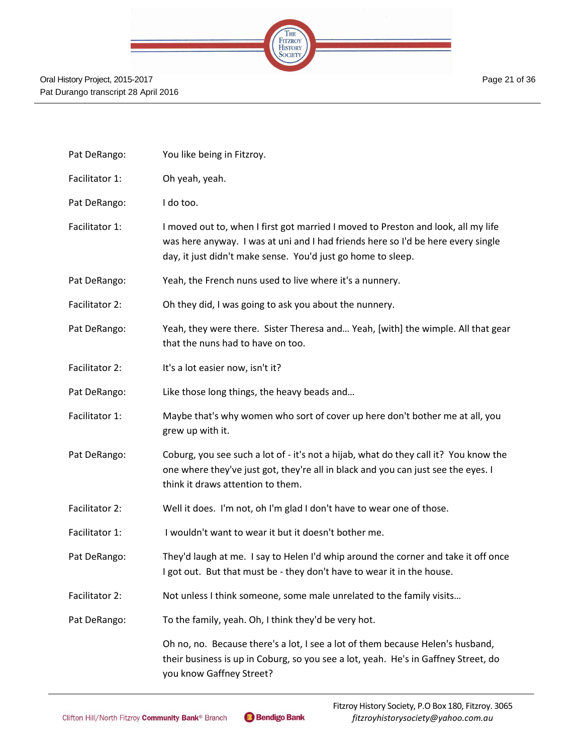Page 21 of 36



| Pat DeRango:   | You like being in Fitzroy.                                                                                                                                                                                                            |
|----------------|---------------------------------------------------------------------------------------------------------------------------------------------------------------------------------------------------------------------------------------|
| Facilitator 1: | Oh yeah, yeah.                                                                                                                                                                                                                        |
| Pat DeRango:   | I do too.                                                                                                                                                                                                                             |
| Facilitator 1: | I moved out to, when I first got married I moved to Preston and look, all my life<br>was here anyway. I was at uni and I had friends here so I'd be here every single<br>day, it just didn't make sense. You'd just go home to sleep. |
| Pat DeRango:   | Yeah, the French nuns used to live where it's a nunnery.                                                                                                                                                                              |
| Facilitator 2: | Oh they did, I was going to ask you about the nunnery.                                                                                                                                                                                |
| Pat DeRango:   | Yeah, they were there. Sister Theresa and Yeah, [with] the wimple. All that gear<br>that the nuns had to have on too.                                                                                                                 |
| Facilitator 2: | It's a lot easier now, isn't it?                                                                                                                                                                                                      |
| Pat DeRango:   | Like those long things, the heavy beads and                                                                                                                                                                                           |
| Facilitator 1: | Maybe that's why women who sort of cover up here don't bother me at all, you<br>grew up with it.                                                                                                                                      |
| Pat DeRango:   | Coburg, you see such a lot of - it's not a hijab, what do they call it? You know the<br>one where they've just got, they're all in black and you can just see the eyes. I<br>think it draws attention to them.                        |
| Facilitator 2: | Well it does. I'm not, oh I'm glad I don't have to wear one of those.                                                                                                                                                                 |
| Facilitator 1: | I wouldn't want to wear it but it doesn't bother me.                                                                                                                                                                                  |
| Pat DeRango:   | They'd laugh at me. I say to Helen I'd whip around the corner and take it off once<br>I got out. But that must be - they don't have to wear it in the house.                                                                          |
| Facilitator 2: | Not unless I think someone, some male unrelated to the family visits                                                                                                                                                                  |
| Pat DeRango:   | To the family, yeah. Oh, I think they'd be very hot.                                                                                                                                                                                  |
|                | Oh no, no. Because there's a lot, I see a lot of them because Helen's husband,<br>their business is up in Coburg, so you see a lot, yeah. He's in Gaffney Street, do<br>you know Gaffney Street?                                      |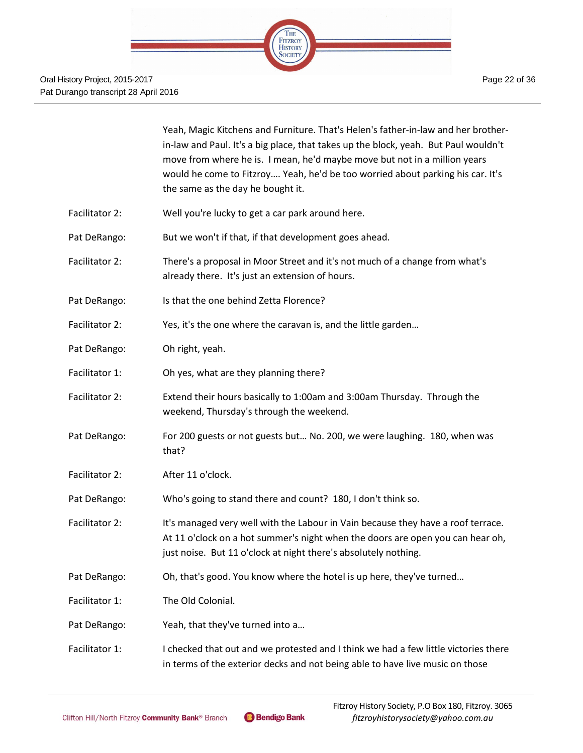|                | Yeah, Magic Kitchens and Furniture. That's Helen's father-in-law and her brother-<br>in-law and Paul. It's a big place, that takes up the block, yeah. But Paul wouldn't<br>move from where he is. I mean, he'd maybe move but not in a million years<br>would he come to Fitzroy Yeah, he'd be too worried about parking his car. It's<br>the same as the day he bought it. |
|----------------|------------------------------------------------------------------------------------------------------------------------------------------------------------------------------------------------------------------------------------------------------------------------------------------------------------------------------------------------------------------------------|
| Facilitator 2: | Well you're lucky to get a car park around here.                                                                                                                                                                                                                                                                                                                             |
| Pat DeRango:   | But we won't if that, if that development goes ahead.                                                                                                                                                                                                                                                                                                                        |
| Facilitator 2: | There's a proposal in Moor Street and it's not much of a change from what's<br>already there. It's just an extension of hours.                                                                                                                                                                                                                                               |
| Pat DeRango:   | Is that the one behind Zetta Florence?                                                                                                                                                                                                                                                                                                                                       |
| Facilitator 2: | Yes, it's the one where the caravan is, and the little garden                                                                                                                                                                                                                                                                                                                |
| Pat DeRango:   | Oh right, yeah.                                                                                                                                                                                                                                                                                                                                                              |
| Facilitator 1: | Oh yes, what are they planning there?                                                                                                                                                                                                                                                                                                                                        |
| Facilitator 2: | Extend their hours basically to 1:00am and 3:00am Thursday. Through the<br>weekend, Thursday's through the weekend.                                                                                                                                                                                                                                                          |
| Pat DeRango:   | For 200 guests or not guests but No. 200, we were laughing. 180, when was<br>that?                                                                                                                                                                                                                                                                                           |
| Facilitator 2: | After 11 o'clock.                                                                                                                                                                                                                                                                                                                                                            |
| Pat DeRango:   | Who's going to stand there and count? 180, I don't think so.                                                                                                                                                                                                                                                                                                                 |
| Facilitator 2: | It's managed very well with the Labour in Vain because they have a roof terrace.<br>At 11 o'clock on a hot summer's night when the doors are open you can hear oh,<br>just noise. But 11 o'clock at night there's absolutely nothing.                                                                                                                                        |
| Pat DeRango:   | Oh, that's good. You know where the hotel is up here, they've turned                                                                                                                                                                                                                                                                                                         |
| Facilitator 1: | The Old Colonial.                                                                                                                                                                                                                                                                                                                                                            |
| Pat DeRango:   | Yeah, that they've turned into a                                                                                                                                                                                                                                                                                                                                             |
| Facilitator 1: | I checked that out and we protested and I think we had a few little victories there<br>in terms of the exterior decks and not being able to have live music on those                                                                                                                                                                                                         |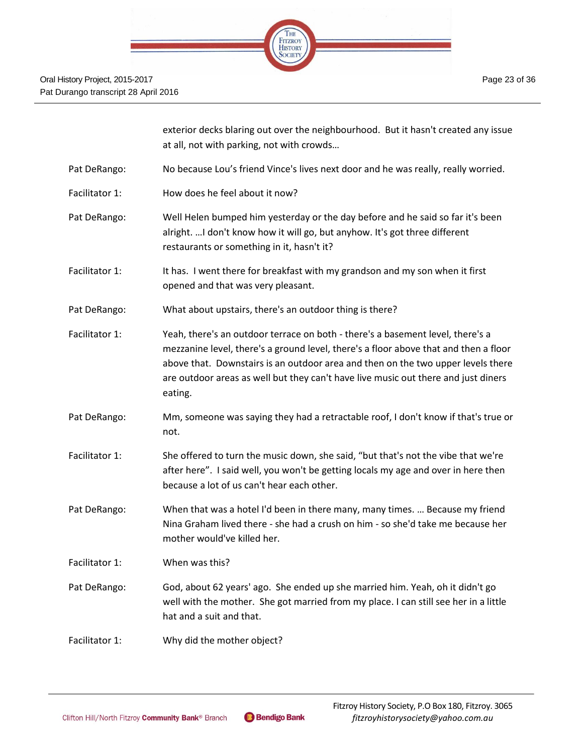

exterior decks blaring out over the neighbourhood. But it hasn't created any issue at all, not with parking, not with crowds…

- Pat DeRango: No because Lou's friend Vince's lives next door and he was really, really worried.
- Facilitator 1: How does he feel about it now?
- Pat DeRango: Well Helen bumped him yesterday or the day before and he said so far it's been alright. …I don't know how it will go, but anyhow. It's got three different restaurants or something in it, hasn't it?
- Facilitator 1: It has. I went there for breakfast with my grandson and my son when it first opened and that was very pleasant.
- Pat DeRango: What about upstairs, there's an outdoor thing is there?
- Facilitator 1: Yeah, there's an outdoor terrace on both there's a basement level, there's a mezzanine level, there's a ground level, there's a floor above that and then a floor above that. Downstairs is an outdoor area and then on the two upper levels there are outdoor areas as well but they can't have live music out there and just diners eating.
- Pat DeRango: Mm, someone was saying they had a retractable roof, I don't know if that's true or not.
- Facilitator 1: She offered to turn the music down, she said, "but that's not the vibe that we're after here". I said well, you won't be getting locals my age and over in here then because a lot of us can't hear each other.
- Pat DeRango: When that was a hotel I'd been in there many, many times. … Because my friend Nina Graham lived there - she had a crush on him - so she'd take me because her mother would've killed her.
- Facilitator 1: When was this?
- Pat DeRango: God, about 62 years' ago. She ended up she married him. Yeah, oh it didn't go well with the mother. She got married from my place. I can still see her in a little hat and a suit and that.
- Facilitator 1: Why did the mother object?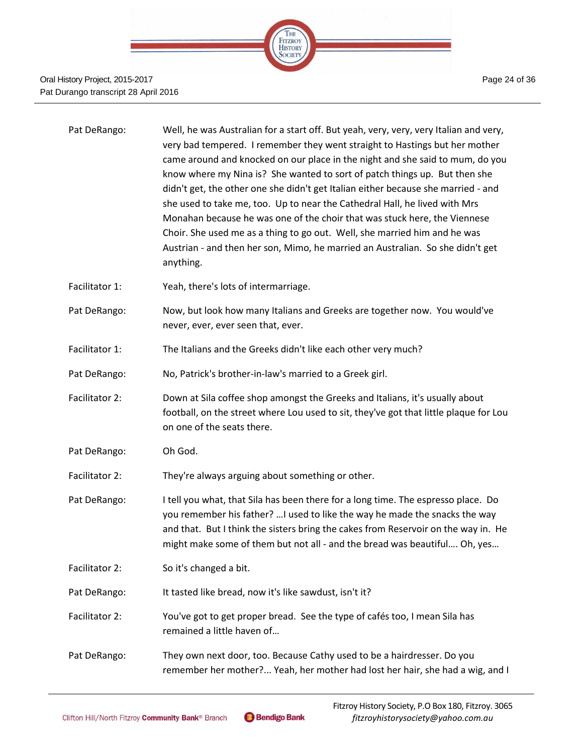

#### Oral History Project, 2015-2017 Pat Durango transcript 28 April 2016

| Pat DeRango: | Well, he was Australian for a start off. But yeah, very, very, very Italian and very, |
|--------------|---------------------------------------------------------------------------------------|
|              | very bad tempered. I remember they went straight to Hastings but her mother           |
|              | came around and knocked on our place in the night and she said to mum, do you         |
|              | know where my Nina is? She wanted to sort of patch things up. But then she            |
|              | didn't get, the other one she didn't get Italian either because she married - and     |
|              | she used to take me, too. Up to near the Cathedral Hall, he lived with Mrs            |
|              | Monahan because he was one of the choir that was stuck here, the Viennese             |
|              | Choir. She used me as a thing to go out. Well, she married him and he was             |
|              | Austrian - and then her son, Mimo, he married an Australian. So she didn't get        |
|              | anything.                                                                             |
|              |                                                                                       |

- Facilitator 1: Yeah, there's lots of intermarriage.
- Pat DeRango: Now, but look how many Italians and Greeks are together now. You would've never, ever, ever seen that, ever.
- Facilitator 1: The Italians and the Greeks didn't like each other very much?
- Pat DeRango: No, Patrick's brother-in-law's married to a Greek girl.
- Facilitator 2: Down at Sila coffee shop amongst the Greeks and Italians, it's usually about football, on the street where Lou used to sit, they've got that little plaque for Lou on one of the seats there.
- Pat DeRango: Oh God.
- Facilitator 2: They're always arguing about something or other.
- Pat DeRango: I tell you what, that Sila has been there for a long time. The espresso place. Do you remember his father? …I used to like the way he made the snacks the way and that. But I think the sisters bring the cakes from Reservoir on the way in. He might make some of them but not all - and the bread was beautiful…. Oh, yes…
- Facilitator 2: So it's changed a bit.
- Pat DeRango: It tasted like bread, now it's like sawdust, isn't it?
- Facilitator 2: You've got to get proper bread. See the type of cafés too, I mean Sila has remained a little haven of…
- Pat DeRango: They own next door, too. Because Cathy used to be a hairdresser. Do you remember her mother?... Yeah, her mother had lost her hair, she had a wig, and I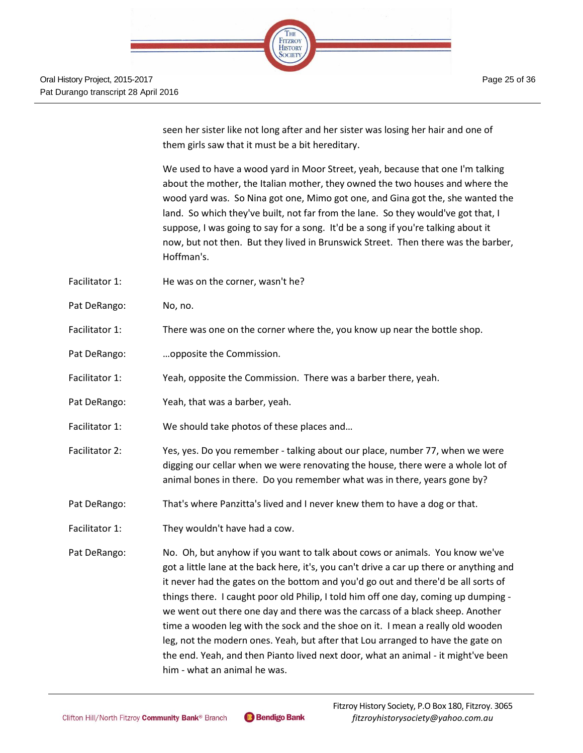

seen her sister like not long after and her sister was losing her hair and one of them girls saw that it must be a bit hereditary.

We used to have a wood yard in Moor Street, yeah, because that one I'm talking about the mother, the Italian mother, they owned the two houses and where the wood yard was. So Nina got one, Mimo got one, and Gina got the, she wanted the land. So which they've built, not far from the lane. So they would've got that, I suppose, I was going to say for a song. It'd be a song if you're talking about it now, but not then. But they lived in Brunswick Street. Then there was the barber, Hoffman's.

- Facilitator 1: He was on the corner, wasn't he?
- Pat DeRango: No, no.
- Facilitator 1: There was one on the corner where the, you know up near the bottle shop.
- Pat DeRango: …opposite the Commission.
- Facilitator 1: Yeah, opposite the Commission. There was a barber there, yeah.
- Pat DeRango: Yeah, that was a barber, yeah.
- Facilitator 1: We should take photos of these places and...
- Facilitator 2: Yes, yes. Do you remember talking about our place, number 77, when we were digging our cellar when we were renovating the house, there were a whole lot of animal bones in there. Do you remember what was in there, years gone by?
- Pat DeRango: That's where Panzitta's lived and I never knew them to have a dog or that.
- Facilitator 1: They wouldn't have had a cow.
- Pat DeRango: No. Oh, but anyhow if you want to talk about cows or animals. You know we've got a little lane at the back here, it's, you can't drive a car up there or anything and it never had the gates on the bottom and you'd go out and there'd be all sorts of things there. I caught poor old Philip, I told him off one day, coming up dumping we went out there one day and there was the carcass of a black sheep. Another time a wooden leg with the sock and the shoe on it. I mean a really old wooden leg, not the modern ones. Yeah, but after that Lou arranged to have the gate on the end. Yeah, and then Pianto lived next door, what an animal - it might've been him - what an animal he was.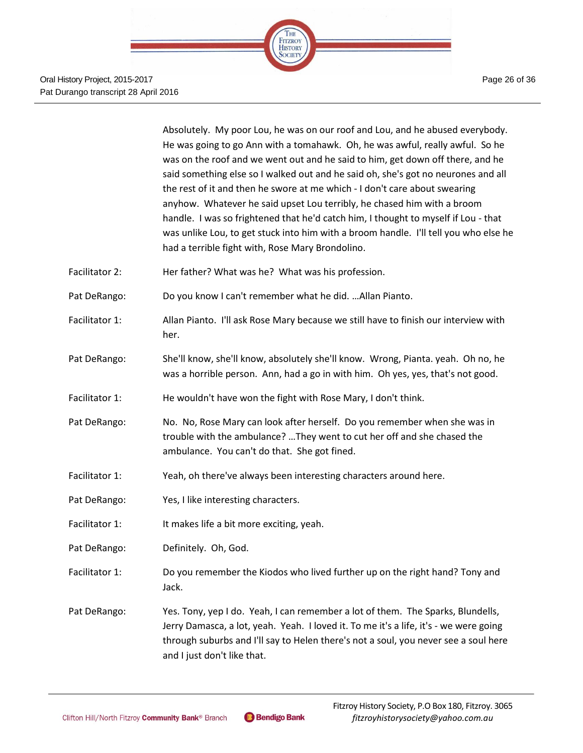

Absolutely. My poor Lou, he was on our roof and Lou, and he abused everybody. He was going to go Ann with a tomahawk. Oh, he was awful, really awful. So he was on the roof and we went out and he said to him, get down off there, and he said something else so I walked out and he said oh, she's got no neurones and all the rest of it and then he swore at me which - I don't care about swearing anyhow. Whatever he said upset Lou terribly, he chased him with a broom handle. I was so frightened that he'd catch him, I thought to myself if Lou - that was unlike Lou, to get stuck into him with a broom handle. I'll tell you who else he had a terrible fight with, Rose Mary Brondolino.

- Facilitator 2: Her father? What was he? What was his profession.
- Pat DeRango: Do you know I can't remember what he did. …Allan Pianto.
- Facilitator 1: Allan Pianto. I'll ask Rose Mary because we still have to finish our interview with her.
- Pat DeRango: She'll know, she'll know, absolutely she'll know. Wrong, Pianta. yeah. Oh no, he was a horrible person. Ann, had a go in with him. Oh yes, yes, that's not good.
- Facilitator 1: He wouldn't have won the fight with Rose Mary, I don't think.
- Pat DeRango: No. No, Rose Mary can look after herself. Do you remember when she was in trouble with the ambulance? …They went to cut her off and she chased the ambulance. You can't do that. She got fined.
- Facilitator 1: Yeah, oh there've always been interesting characters around here.
- Pat DeRango: Yes, I like interesting characters.
- Facilitator 1: It makes life a bit more exciting, yeah.
- Pat DeRango: Definitely. Oh, God.
- Facilitator 1: Do you remember the Kiodos who lived further up on the right hand? Tony and Jack.
- Pat DeRango: Yes. Tony, yep I do. Yeah, I can remember a lot of them. The Sparks, Blundells, Jerry Damasca, a lot, yeah. Yeah. I loved it. To me it's a life, it's - we were going through suburbs and I'll say to Helen there's not a soul, you never see a soul here and I just don't like that.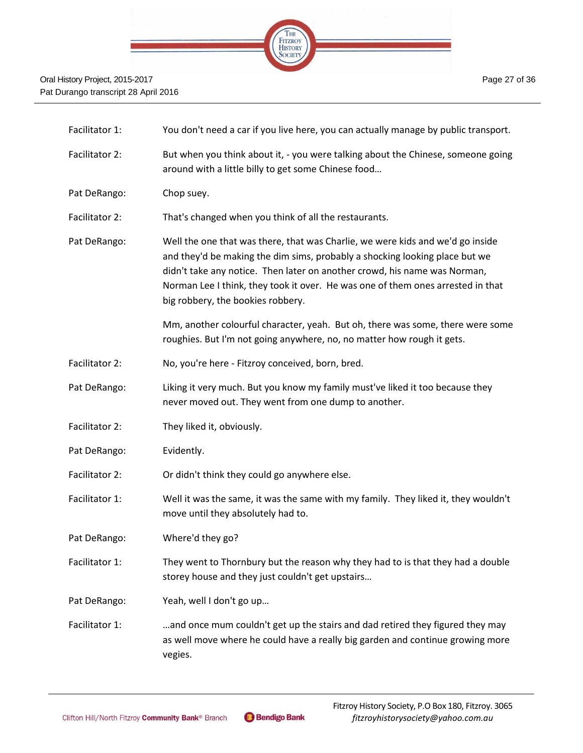

| Facilitator 1: | You don't need a car if you live here, you can actually manage by public transport.                                                                                                                                                                                                                                                                                |
|----------------|--------------------------------------------------------------------------------------------------------------------------------------------------------------------------------------------------------------------------------------------------------------------------------------------------------------------------------------------------------------------|
| Facilitator 2: | But when you think about it, - you were talking about the Chinese, someone going<br>around with a little billy to get some Chinese food                                                                                                                                                                                                                            |
| Pat DeRango:   | Chop suey.                                                                                                                                                                                                                                                                                                                                                         |
| Facilitator 2: | That's changed when you think of all the restaurants.                                                                                                                                                                                                                                                                                                              |
| Pat DeRango:   | Well the one that was there, that was Charlie, we were kids and we'd go inside<br>and they'd be making the dim sims, probably a shocking looking place but we<br>didn't take any notice. Then later on another crowd, his name was Norman,<br>Norman Lee I think, they took it over. He was one of them ones arrested in that<br>big robbery, the bookies robbery. |
|                | Mm, another colourful character, yeah. But oh, there was some, there were some<br>roughies. But I'm not going anywhere, no, no matter how rough it gets.                                                                                                                                                                                                           |
| Facilitator 2: | No, you're here - Fitzroy conceived, born, bred.                                                                                                                                                                                                                                                                                                                   |
| Pat DeRango:   | Liking it very much. But you know my family must've liked it too because they<br>never moved out. They went from one dump to another.                                                                                                                                                                                                                              |
| Facilitator 2: | They liked it, obviously.                                                                                                                                                                                                                                                                                                                                          |
| Pat DeRango:   | Evidently.                                                                                                                                                                                                                                                                                                                                                         |
| Facilitator 2: | Or didn't think they could go anywhere else.                                                                                                                                                                                                                                                                                                                       |
| Facilitator 1: | Well it was the same, it was the same with my family. They liked it, they wouldn't<br>move until they absolutely had to.                                                                                                                                                                                                                                           |
| Pat DeRango:   | Where'd they go?                                                                                                                                                                                                                                                                                                                                                   |
| Facilitator 1: | They went to Thornbury but the reason why they had to is that they had a double<br>storey house and they just couldn't get upstairs                                                                                                                                                                                                                                |
| Pat DeRango:   | Yeah, well I don't go up                                                                                                                                                                                                                                                                                                                                           |
| Facilitator 1: | and once mum couldn't get up the stairs and dad retired they figured they may<br>as well move where he could have a really big garden and continue growing more<br>vegies.                                                                                                                                                                                         |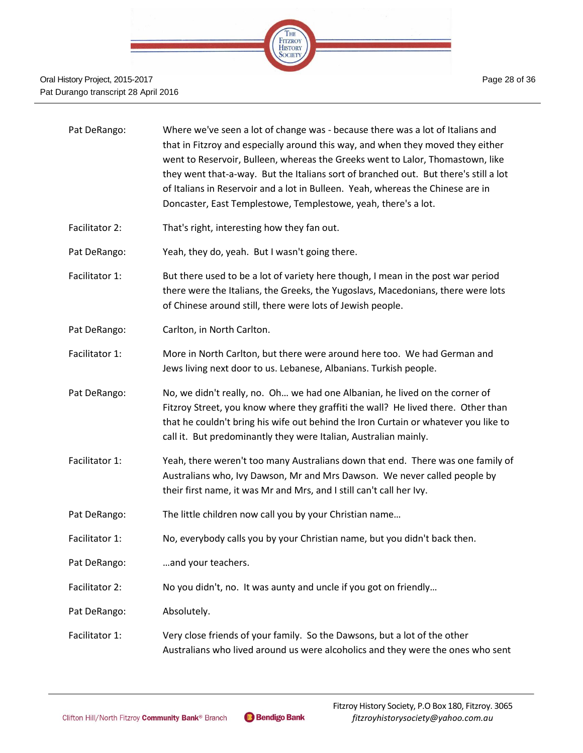

| Pat DeRango:      | Where we've seen a lot of change was - because there was a lot of Italians and<br>that in Fitzroy and especially around this way, and when they moved they either<br>went to Reservoir, Bulleen, whereas the Greeks went to Lalor, Thomastown, like<br>they went that-a-way. But the Italians sort of branched out. But there's still a lot<br>of Italians in Reservoir and a lot in Bulleen. Yeah, whereas the Chinese are in<br>Doncaster, East Templestowe, Templestowe, yeah, there's a lot. |
|-------------------|--------------------------------------------------------------------------------------------------------------------------------------------------------------------------------------------------------------------------------------------------------------------------------------------------------------------------------------------------------------------------------------------------------------------------------------------------------------------------------------------------|
| Facilitator 2:    | That's right, interesting how they fan out.                                                                                                                                                                                                                                                                                                                                                                                                                                                      |
| Pat DeRango:      | Yeah, they do, yeah. But I wasn't going there.                                                                                                                                                                                                                                                                                                                                                                                                                                                   |
| Facilitator 1:    | But there used to be a lot of variety here though, I mean in the post war period<br>there were the Italians, the Greeks, the Yugoslavs, Macedonians, there were lots<br>of Chinese around still, there were lots of Jewish people.                                                                                                                                                                                                                                                               |
| Pat DeRango:      | Carlton, in North Carlton.                                                                                                                                                                                                                                                                                                                                                                                                                                                                       |
| Facilitator 1:    | More in North Carlton, but there were around here too. We had German and<br>Jews living next door to us. Lebanese, Albanians. Turkish people.                                                                                                                                                                                                                                                                                                                                                    |
| Pat DeRango:      | No, we didn't really, no. Oh we had one Albanian, he lived on the corner of<br>Fitzroy Street, you know where they graffiti the wall? He lived there. Other than<br>that he couldn't bring his wife out behind the Iron Curtain or whatever you like to<br>call it. But predominantly they were Italian, Australian mainly.                                                                                                                                                                      |
| Facilitator $1$ : | Yeah, there weren't too many Australians down that end. There was one family of                                                                                                                                                                                                                                                                                                                                                                                                                  |

- acilitator 1: Yeah, there weren't too many Australians down that end. There was one family of Australians who, Ivy Dawson, Mr and Mrs Dawson. We never called people by their first name, it was Mr and Mrs, and I still can't call her Ivy.
- Pat DeRango: The little children now call you by your Christian name...
- Facilitator 1: No, everybody calls you by your Christian name, but you didn't back then.
- Pat DeRango: ...and your teachers.
- Facilitator 2: No you didn't, no. It was aunty and uncle if you got on friendly…
- Pat DeRango: Absolutely.
- Facilitator 1: Very close friends of your family. So the Dawsons, but a lot of the other Australians who lived around us were alcoholics and they were the ones who sent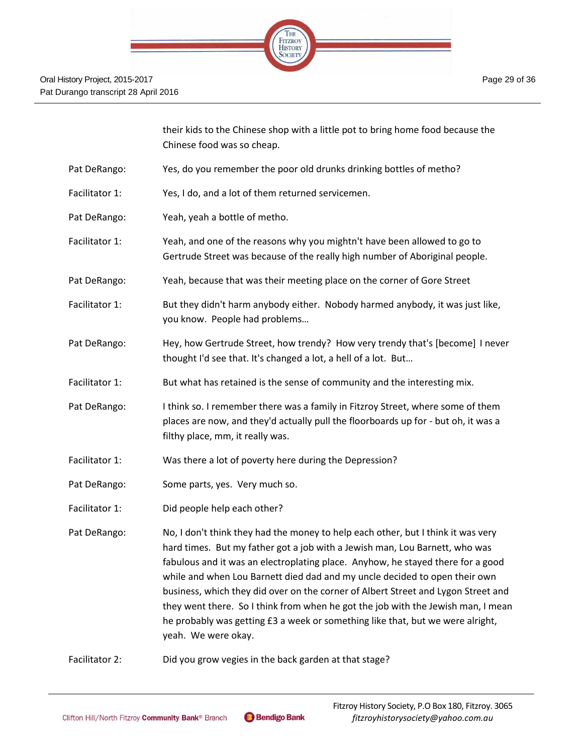

their kids to the Chinese shop with a little pot to bring home food because the Chinese food was so cheap.

- Pat DeRango: Yes, do you remember the poor old drunks drinking bottles of metho?
- Facilitator 1: Yes, I do, and a lot of them returned servicemen.
- Pat DeRango: Yeah, yeah a bottle of metho.
- Facilitator 1: Yeah, and one of the reasons why you mightn't have been allowed to go to Gertrude Street was because of the really high number of Aboriginal people.
- Pat DeRango: Yeah, because that was their meeting place on the corner of Gore Street
- Facilitator 1: But they didn't harm anybody either. Nobody harmed anybody, it was just like, you know. People had problems…
- Pat DeRango: Hey, how Gertrude Street, how trendy? How very trendy that's [become] I never thought I'd see that. It's changed a lot, a hell of a lot. But…
- Facilitator 1: But what has retained is the sense of community and the interesting mix.
- Pat DeRango: I think so. I remember there was a family in Fitzroy Street, where some of them places are now, and they'd actually pull the floorboards up for - but oh, it was a filthy place, mm, it really was.
- Facilitator 1: Was there a lot of poverty here during the Depression?
- Pat DeRango: Some parts, yes. Very much so.
- Facilitator 1: Did people help each other?

Pat DeRango: No, I don't think they had the money to help each other, but I think it was very hard times. But my father got a job with a Jewish man, Lou Barnett, who was fabulous and it was an electroplating place. Anyhow, he stayed there for a good while and when Lou Barnett died dad and my uncle decided to open their own business, which they did over on the corner of Albert Street and Lygon Street and they went there. So I think from when he got the job with the Jewish man, I mean he probably was getting £3 a week or something like that, but we were alright, yeah. We were okay.

Facilitator 2: Did you grow vegies in the back garden at that stage?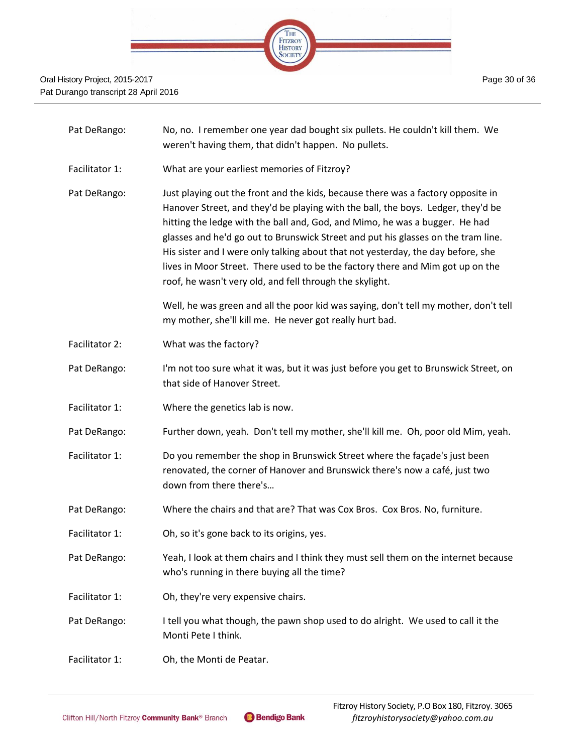

- Pat DeRango: No, no. I remember one year dad bought six pullets. He couldn't kill them. We weren't having them, that didn't happen. No pullets.
- Facilitator 1: What are your earliest memories of Fitzroy?
- Pat DeRango: Just playing out the front and the kids, because there was a factory opposite in Hanover Street, and they'd be playing with the ball, the boys. Ledger, they'd be hitting the ledge with the ball and, God, and Mimo, he was a bugger. He had glasses and he'd go out to Brunswick Street and put his glasses on the tram line. His sister and I were only talking about that not yesterday, the day before, she lives in Moor Street. There used to be the factory there and Mim got up on the roof, he wasn't very old, and fell through the skylight.

Well, he was green and all the poor kid was saying, don't tell my mother, don't tell my mother, she'll kill me. He never got really hurt bad.

- Facilitator 2: What was the factory?
- Pat DeRango: I'm not too sure what it was, but it was just before you get to Brunswick Street, on that side of Hanover Street.
- Facilitator 1: Where the genetics lab is now.
- Pat DeRango: Further down, yeah. Don't tell my mother, she'll kill me. Oh, poor old Mim, yeah.
- Facilitator 1: Do you remember the shop in Brunswick Street where the façade's just been renovated, the corner of Hanover and Brunswick there's now a café, just two down from there there's…
- Pat DeRango: Where the chairs and that are? That was Cox Bros. Cox Bros. No, furniture.
- Facilitator 1: Oh, so it's gone back to its origins, yes.
- Pat DeRango: Yeah, I look at them chairs and I think they must sell them on the internet because who's running in there buying all the time?
- Facilitator 1: Oh, they're very expensive chairs.
- Pat DeRango: I tell you what though, the pawn shop used to do alright. We used to call it the Monti Pete I think.
- Facilitator 1: Oh, the Monti de Peatar.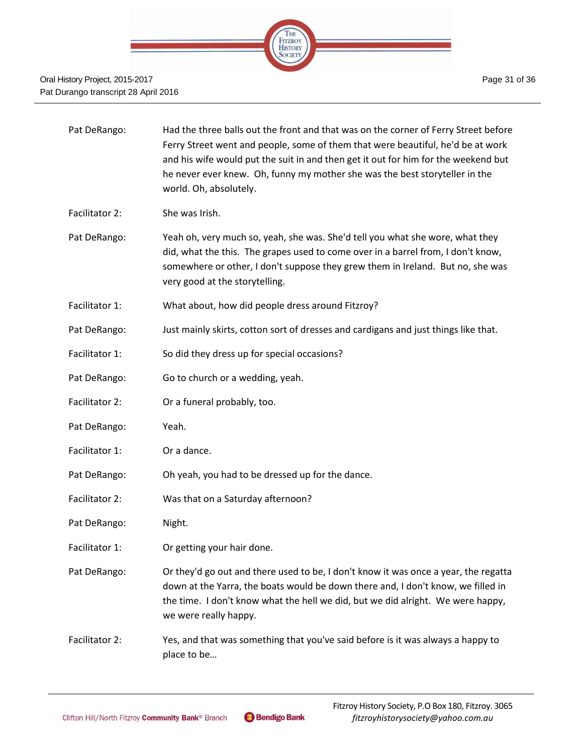

| Pat DeRango:   | Had the three balls out the front and that was on the corner of Ferry Street before<br>Ferry Street went and people, some of them that were beautiful, he'd be at work<br>and his wife would put the suit in and then get it out for him for the weekend but<br>he never ever knew. Oh, funny my mother she was the best storyteller in the<br>world. Oh, absolutely. |
|----------------|-----------------------------------------------------------------------------------------------------------------------------------------------------------------------------------------------------------------------------------------------------------------------------------------------------------------------------------------------------------------------|
| Facilitator 2: | She was Irish.                                                                                                                                                                                                                                                                                                                                                        |
| Pat DeRango:   | Yeah oh, very much so, yeah, she was. She'd tell you what she wore, what they<br>did, what the this. The grapes used to come over in a barrel from, I don't know,<br>somewhere or other, I don't suppose they grew them in Ireland. But no, she was<br>very good at the storytelling.                                                                                 |
| Facilitator 1: | What about, how did people dress around Fitzroy?                                                                                                                                                                                                                                                                                                                      |
| Pat DeRango:   | Just mainly skirts, cotton sort of dresses and cardigans and just things like that.                                                                                                                                                                                                                                                                                   |
| Facilitator 1: | So did they dress up for special occasions?                                                                                                                                                                                                                                                                                                                           |
| Pat DeRango:   | Go to church or a wedding, yeah.                                                                                                                                                                                                                                                                                                                                      |
| Facilitator 2: | Or a funeral probably, too.                                                                                                                                                                                                                                                                                                                                           |
| Pat DeRango:   | Yeah.                                                                                                                                                                                                                                                                                                                                                                 |
| Facilitator 1: | Or a dance.                                                                                                                                                                                                                                                                                                                                                           |
| Pat DeRango:   | Oh yeah, you had to be dressed up for the dance.                                                                                                                                                                                                                                                                                                                      |
| Facilitator 2: | Was that on a Saturday afternoon?                                                                                                                                                                                                                                                                                                                                     |
| Pat DeRango:   | Night.                                                                                                                                                                                                                                                                                                                                                                |
| Facilitator 1: | Or getting your hair done.                                                                                                                                                                                                                                                                                                                                            |
| Pat DeRango:   | Or they'd go out and there used to be, I don't know it was once a year, the regatta<br>down at the Yarra, the boats would be down there and, I don't know, we filled in<br>the time. I don't know what the hell we did, but we did alright. We were happy,<br>we were really happy.                                                                                   |
| Facilitator 2: | Yes, and that was something that you've said before is it was always a happy to<br>place to be                                                                                                                                                                                                                                                                        |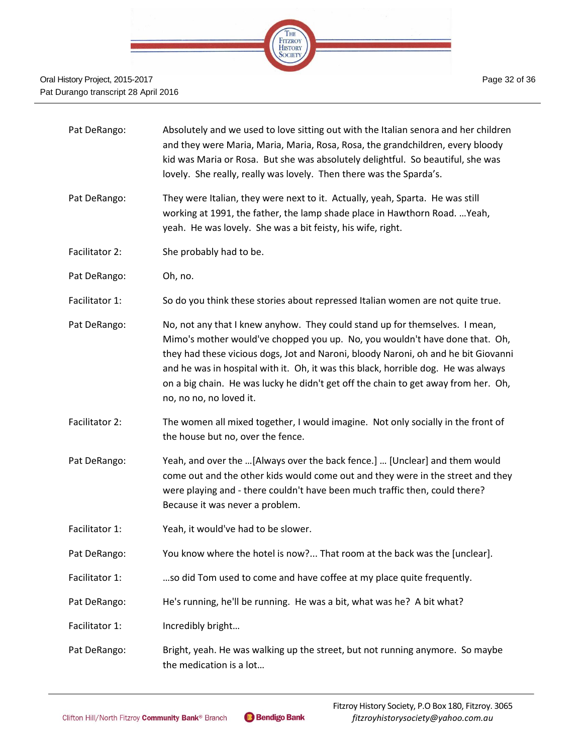

| Pat DeRango:   | Absolutely and we used to love sitting out with the Italian senora and her children<br>and they were Maria, Maria, Maria, Rosa, Rosa, the grandchildren, every bloody<br>kid was Maria or Rosa. But she was absolutely delightful. So beautiful, she was<br>lovely. She really, really was lovely. Then there was the Sparda's.                                                                                                                         |
|----------------|---------------------------------------------------------------------------------------------------------------------------------------------------------------------------------------------------------------------------------------------------------------------------------------------------------------------------------------------------------------------------------------------------------------------------------------------------------|
| Pat DeRango:   | They were Italian, they were next to it. Actually, yeah, Sparta. He was still<br>working at 1991, the father, the lamp shade place in Hawthorn Road.  Yeah,<br>yeah. He was lovely. She was a bit feisty, his wife, right.                                                                                                                                                                                                                              |
| Facilitator 2: | She probably had to be.                                                                                                                                                                                                                                                                                                                                                                                                                                 |
| Pat DeRango:   | Oh, no.                                                                                                                                                                                                                                                                                                                                                                                                                                                 |
| Facilitator 1: | So do you think these stories about repressed Italian women are not quite true.                                                                                                                                                                                                                                                                                                                                                                         |
| Pat DeRango:   | No, not any that I knew anyhow. They could stand up for themselves. I mean,<br>Mimo's mother would've chopped you up. No, you wouldn't have done that. Oh,<br>they had these vicious dogs, Jot and Naroni, bloody Naroni, oh and he bit Giovanni<br>and he was in hospital with it. Oh, it was this black, horrible dog. He was always<br>on a big chain. He was lucky he didn't get off the chain to get away from her. Oh,<br>no, no no, no loved it. |
| Facilitator 2: | The women all mixed together, I would imagine. Not only socially in the front of<br>the house but no, over the fence.                                                                                                                                                                                                                                                                                                                                   |
| Pat DeRango:   | Yeah, and over the [Always over the back fence.]  [Unclear] and them would<br>come out and the other kids would come out and they were in the street and they<br>were playing and - there couldn't have been much traffic then, could there?<br>Because it was never a problem.                                                                                                                                                                         |
| Facilitator 1: | Yeah, it would've had to be slower.                                                                                                                                                                                                                                                                                                                                                                                                                     |
| Pat DeRango:   | You know where the hotel is now? That room at the back was the [unclear].                                                                                                                                                                                                                                                                                                                                                                               |
| Facilitator 1: | so did Tom used to come and have coffee at my place quite frequently.                                                                                                                                                                                                                                                                                                                                                                                   |
| Pat DeRango:   | He's running, he'll be running. He was a bit, what was he? A bit what?                                                                                                                                                                                                                                                                                                                                                                                  |
| Facilitator 1: | Incredibly bright                                                                                                                                                                                                                                                                                                                                                                                                                                       |
| Pat DeRango:   | Bright, yeah. He was walking up the street, but not running anymore. So maybe<br>the medication is a lot                                                                                                                                                                                                                                                                                                                                                |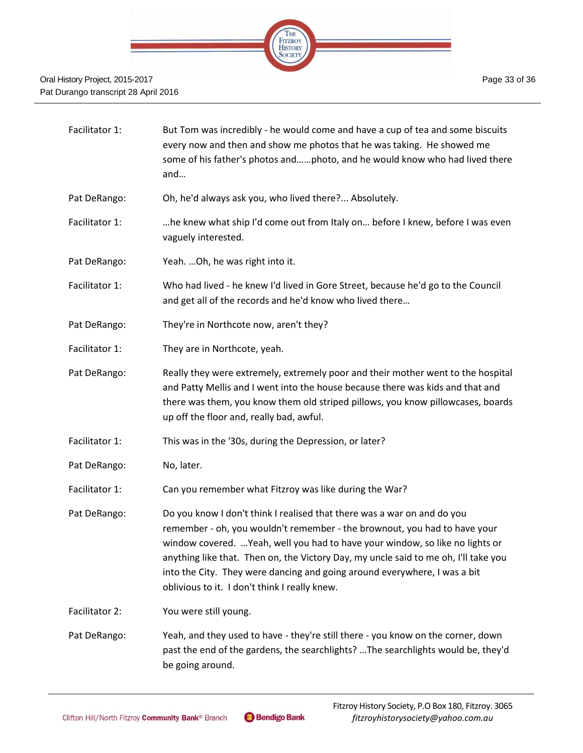

- Facilitator 1: But Tom was incredibly he would come and have a cup of tea and some biscuits every now and then and show me photos that he was taking. He showed me some of his father's photos and……photo, and he would know who had lived there and…
- Pat DeRango: Oh, he'd always ask you, who lived there?... Absolutely.
- Facilitator 1: …he knew what ship I'd come out from Italy on… before I knew, before I was even vaguely interested.
- Pat DeRango: Yeah. …Oh, he was right into it.
- Facilitator 1: Who had lived he knew I'd lived in Gore Street, because he'd go to the Council and get all of the records and he'd know who lived there…
- Pat DeRango: They're in Northcote now, aren't they?
- Facilitator 1: They are in Northcote, yeah.
- Pat DeRango: Really they were extremely, extremely poor and their mother went to the hospital and Patty Mellis and I went into the house because there was kids and that and there was them, you know them old striped pillows, you know pillowcases, boards up off the floor and, really bad, awful.
- Facilitator 1: This was in the '30s, during the Depression, or later?
- Pat DeRango: No, later.
- Facilitator 1: Can you remember what Fitzroy was like during the War?
- Pat DeRango: Do you know I don't think I realised that there was a war on and do you remember - oh, you wouldn't remember - the brownout, you had to have your window covered. …Yeah, well you had to have your window, so like no lights or anything like that. Then on, the Victory Day, my uncle said to me oh, I'll take you into the City. They were dancing and going around everywhere, I was a bit oblivious to it. I don't think I really knew.
- Facilitator 2: You were still young.
- Pat DeRango: Yeah, and they used to have they're still there you know on the corner, down past the end of the gardens, the searchlights? …The searchlights would be, they'd be going around.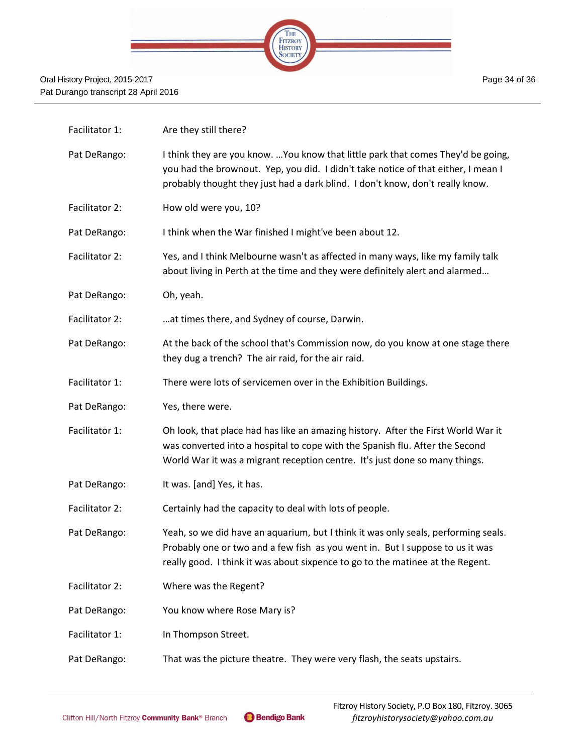

| Facilitator 1: | Are they still there?                                                                                                                                                                                                                                   |
|----------------|---------------------------------------------------------------------------------------------------------------------------------------------------------------------------------------------------------------------------------------------------------|
| Pat DeRango:   | I think they are you know.  You know that little park that comes They'd be going,<br>you had the brownout. Yep, you did. I didn't take notice of that either, I mean I<br>probably thought they just had a dark blind. I don't know, don't really know. |
| Facilitator 2: | How old were you, 10?                                                                                                                                                                                                                                   |
| Pat DeRango:   | I think when the War finished I might've been about 12.                                                                                                                                                                                                 |
| Facilitator 2: | Yes, and I think Melbourne wasn't as affected in many ways, like my family talk<br>about living in Perth at the time and they were definitely alert and alarmed                                                                                         |
| Pat DeRango:   | Oh, yeah.                                                                                                                                                                                                                                               |
| Facilitator 2: | at times there, and Sydney of course, Darwin.                                                                                                                                                                                                           |
| Pat DeRango:   | At the back of the school that's Commission now, do you know at one stage there<br>they dug a trench? The air raid, for the air raid.                                                                                                                   |
| Facilitator 1: | There were lots of servicemen over in the Exhibition Buildings.                                                                                                                                                                                         |
|                |                                                                                                                                                                                                                                                         |
| Pat DeRango:   | Yes, there were.                                                                                                                                                                                                                                        |
| Facilitator 1: | Oh look, that place had has like an amazing history. After the First World War it<br>was converted into a hospital to cope with the Spanish flu. After the Second<br>World War it was a migrant reception centre. It's just done so many things.        |
| Pat DeRango:   | It was. [and] Yes, it has.                                                                                                                                                                                                                              |
| Facilitator 2: | Certainly had the capacity to deal with lots of people.                                                                                                                                                                                                 |
| Pat DeRango:   | Yeah, so we did have an aquarium, but I think it was only seals, performing seals.<br>Probably one or two and a few fish as you went in. But I suppose to us it was<br>really good. I think it was about sixpence to go to the matinee at the Regent.   |
| Facilitator 2: | Where was the Regent?                                                                                                                                                                                                                                   |
| Pat DeRango:   | You know where Rose Mary is?                                                                                                                                                                                                                            |
| Facilitator 1: | In Thompson Street.                                                                                                                                                                                                                                     |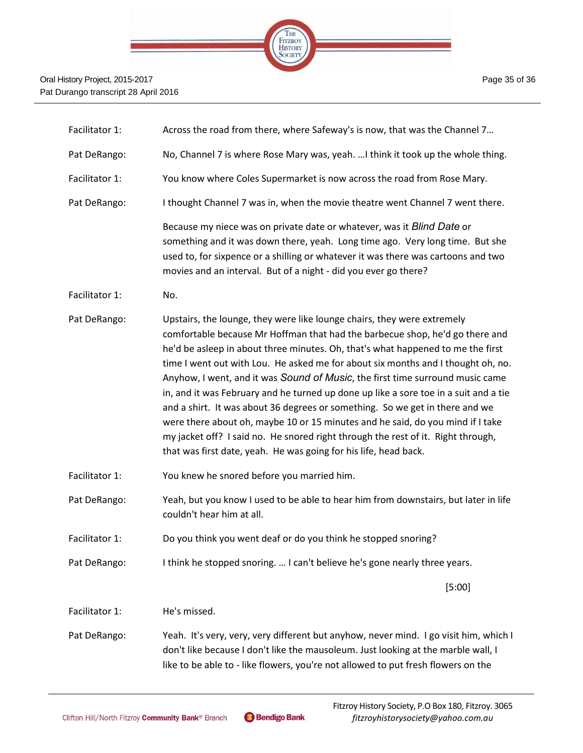

| Facilitator 1: | Across the road from there, where Safeway's is now, that was the Channel 7                                                                                                                                                                                                                                                                                                                                                                                                                                                                                                                                                                                                                                                                                                                                                        |
|----------------|-----------------------------------------------------------------------------------------------------------------------------------------------------------------------------------------------------------------------------------------------------------------------------------------------------------------------------------------------------------------------------------------------------------------------------------------------------------------------------------------------------------------------------------------------------------------------------------------------------------------------------------------------------------------------------------------------------------------------------------------------------------------------------------------------------------------------------------|
| Pat DeRango:   | No, Channel 7 is where Rose Mary was, yeah.  I think it took up the whole thing.                                                                                                                                                                                                                                                                                                                                                                                                                                                                                                                                                                                                                                                                                                                                                  |
| Facilitator 1: | You know where Coles Supermarket is now across the road from Rose Mary.                                                                                                                                                                                                                                                                                                                                                                                                                                                                                                                                                                                                                                                                                                                                                           |
| Pat DeRango:   | I thought Channel 7 was in, when the movie theatre went Channel 7 went there.                                                                                                                                                                                                                                                                                                                                                                                                                                                                                                                                                                                                                                                                                                                                                     |
|                | Because my niece was on private date or whatever, was it Blind Date or<br>something and it was down there, yeah. Long time ago. Very long time. But she<br>used to, for sixpence or a shilling or whatever it was there was cartoons and two<br>movies and an interval. But of a night - did you ever go there?                                                                                                                                                                                                                                                                                                                                                                                                                                                                                                                   |
| Facilitator 1: | No.                                                                                                                                                                                                                                                                                                                                                                                                                                                                                                                                                                                                                                                                                                                                                                                                                               |
| Pat DeRango:   | Upstairs, the lounge, they were like lounge chairs, they were extremely<br>comfortable because Mr Hoffman that had the barbecue shop, he'd go there and<br>he'd be asleep in about three minutes. Oh, that's what happened to me the first<br>time I went out with Lou. He asked me for about six months and I thought oh, no.<br>Anyhow, I went, and it was Sound of Music, the first time surround music came<br>in, and it was February and he turned up done up like a sore toe in a suit and a tie<br>and a shirt. It was about 36 degrees or something. So we get in there and we<br>were there about oh, maybe 10 or 15 minutes and he said, do you mind if I take<br>my jacket off? I said no. He snored right through the rest of it. Right through,<br>that was first date, yeah. He was going for his life, head back. |
| Facilitator 1: | You knew he snored before you married him.                                                                                                                                                                                                                                                                                                                                                                                                                                                                                                                                                                                                                                                                                                                                                                                        |
| Pat DeRango:   | Yeah, but you know I used to be able to hear him from downstairs, but later in life<br>couldn't hear him at all.                                                                                                                                                                                                                                                                                                                                                                                                                                                                                                                                                                                                                                                                                                                  |
| Facilitator 1: | Do you think you went deaf or do you think he stopped snoring?                                                                                                                                                                                                                                                                                                                                                                                                                                                                                                                                                                                                                                                                                                                                                                    |
| Pat DeRango:   | I think he stopped snoring.  I can't believe he's gone nearly three years.                                                                                                                                                                                                                                                                                                                                                                                                                                                                                                                                                                                                                                                                                                                                                        |
|                | [5:00]                                                                                                                                                                                                                                                                                                                                                                                                                                                                                                                                                                                                                                                                                                                                                                                                                            |
| Facilitator 1: | He's missed.                                                                                                                                                                                                                                                                                                                                                                                                                                                                                                                                                                                                                                                                                                                                                                                                                      |
| Pat DeRango:   | Yeah. It's very, very, very different but anyhow, never mind. I go visit him, which I<br>don't like because I don't like the mausoleum. Just looking at the marble wall, I<br>like to be able to - like flowers, you're not allowed to put fresh flowers on the                                                                                                                                                                                                                                                                                                                                                                                                                                                                                                                                                                   |